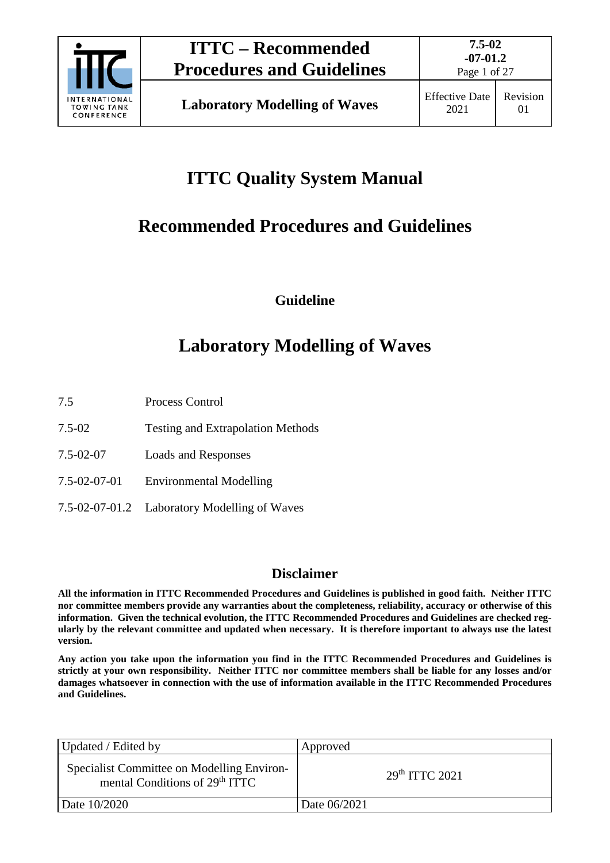

Page 1 of 27

# **ITTC Quality System Manual**

## **Recommended Procedures and Guidelines**

**Guideline**

## **Laboratory Modelling of Waves**

- 7.5 Process Control
- 7.5-02 Testing and Extrapolation Methods
- 7.5-02-07 Loads and Responses
- 7.5-02-07-01 Environmental Modelling
- 7.5-02-07-01.2 Laboratory Modelling of Waves

### **Disclaimer**

**All the information in ITTC Recommended Procedures and Guidelines is published in good faith. Neither ITTC nor committee members provide any warranties about the completeness, reliability, accuracy or otherwise of this information. Given the technical evolution, the ITTC Recommended Procedures and Guidelines are checked regularly by the relevant committee and updated when necessary. It is therefore important to always use the latest version.**

**Any action you take upon the information you find in the ITTC Recommended Procedures and Guidelines is strictly at your own responsibility. Neither ITTC nor committee members shall be liable for any losses and/or damages whatsoever in connection with the use of information available in the ITTC Recommended Procedures and Guidelines.**

| Updated / Edited by                                                                      | Approved                   |  |
|------------------------------------------------------------------------------------------|----------------------------|--|
| Specialist Committee on Modelling Environ-<br>mental Conditions of 29 <sup>th</sup> ITTC | 29 <sup>th</sup> TTTC 2021 |  |
| Date 10/2020                                                                             | Date 06/2021               |  |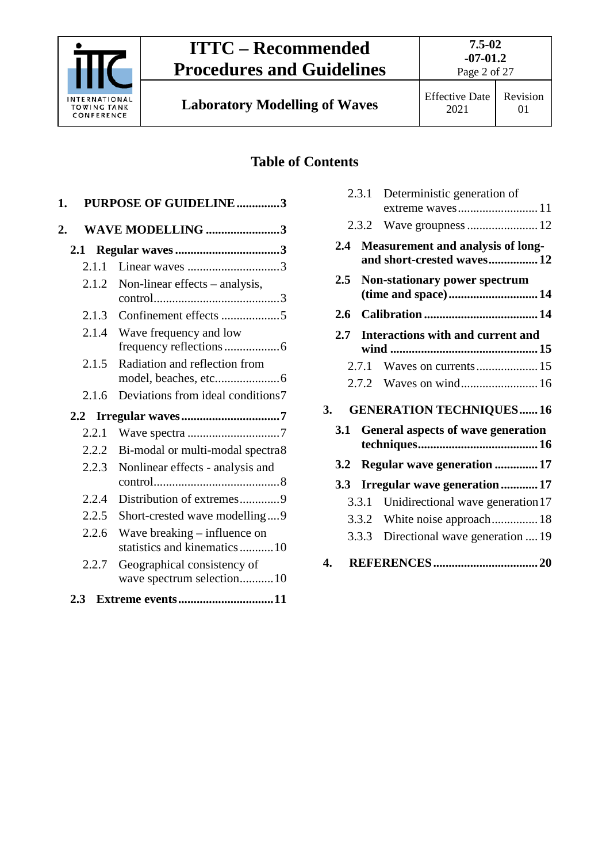

**Laboratory Modelling of Waves** Effective Date

2021

### Revision 01

### **Table of Contents**

| 1.    | PURPOSE OF GUIDELINE3                                        |  |
|-------|--------------------------------------------------------------|--|
| 2.    | WAVE MODELLING 3                                             |  |
|       |                                                              |  |
| 2.1.1 | Linear waves 3                                               |  |
| 2.1.2 | Non-linear effects - analysis,                               |  |
| 2.1.3 |                                                              |  |
| 2.1.4 | Wave frequency and low                                       |  |
| 2.1.5 | Radiation and reflection from                                |  |
| 2.1.6 | Deviations from ideal conditions7                            |  |
|       |                                                              |  |
| 2.2.1 |                                                              |  |
| 2.2.2 | Bi-modal or multi-modal spectra8                             |  |
| 2.2.3 | Nonlinear effects - analysis and                             |  |
| 2.2.4 | Distribution of extremes9                                    |  |
| 2.2.5 | Short-crested wave modelling9                                |  |
| 2.2.6 | Wave breaking - influence on<br>statistics and kinematics 10 |  |
| 2.2.7 | Geographical consistency of                                  |  |
|       | wave spectrum selection10                                    |  |

|                                        |               |       | 2.3.1 Deterministic generation of<br>extreme waves11            |  |
|----------------------------------------|---------------|-------|-----------------------------------------------------------------|--|
|                                        |               |       |                                                                 |  |
|                                        | 2.4           |       | Measurement and analysis of long-<br>and short-crested waves 12 |  |
|                                        | $2.5^{\circ}$ |       | Non-stationary power spectrum<br>(time and space)14             |  |
|                                        | 2.6           |       |                                                                 |  |
|                                        | $2.7^{\circ}$ |       | <b>Interactions with and current and</b>                        |  |
|                                        |               | 2.7.1 |                                                                 |  |
|                                        |               |       |                                                                 |  |
| 3.                                     |               |       | <b>GENERATION TECHNIQUES16</b>                                  |  |
| 3.1 General aspects of wave generation |               |       |                                                                 |  |
|                                        | 3.2           |       | Regular wave generation  17                                     |  |
|                                        | 3.3           |       | Irregular wave generation17                                     |  |
|                                        |               | 3.3.1 | Unidirectional wave generation 17                               |  |
|                                        |               |       | 3.3.2 White noise approach 18                                   |  |
|                                        |               | 3.3.3 | Directional wave generation  19                                 |  |
| 4.                                     |               |       |                                                                 |  |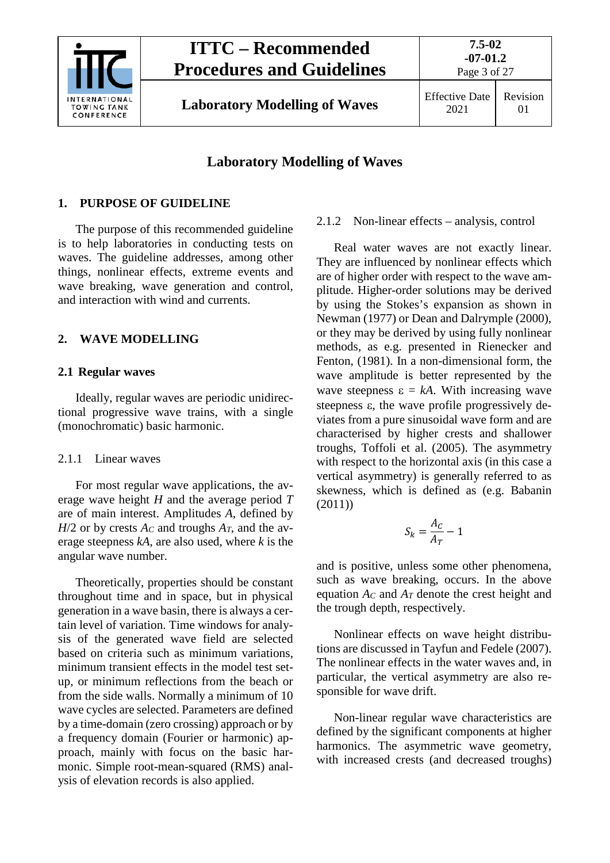

2021

Revision 01

### **Laboratory Modelling of Waves**

### <span id="page-2-0"></span>**1. PURPOSE OF GUIDELINE**

The purpose of this recommended guideline is to help laboratories in conducting tests on waves. The guideline addresses, among other things, nonlinear effects, extreme events and wave breaking, wave generation and control, and interaction with wind and currents.

### <span id="page-2-2"></span><span id="page-2-1"></span>**2. WAVE MODELLING**

### **2.1 Regular waves**

Ideally, regular waves are periodic unidirectional progressive wave trains, with a single (monochromatic) basic harmonic.

### <span id="page-2-3"></span>2.1.1 Linear waves

For most regular wave applications, the average wave height *H* and the average period *T* are of main interest. Amplitudes *A*, defined by  $H/2$  or by crests  $A_C$  and troughs  $A_T$ , and the average steepness *kA*, are also used, where *k* is the angular wave number.

Theoretically, properties should be constant throughout time and in space, but in physical generation in a wave basin, there is always a certain level of variation. Time windows for analysis of the generated wave field are selected based on criteria such as minimum variations, minimum transient effects in the model test setup, or minimum reflections from the beach or from the side walls. Normally a minimum of 10 wave cycles are selected. Parameters are defined by a time-domain (zero crossing) approach or by a frequency domain (Fourier or harmonic) approach, mainly with focus on the basic harmonic. Simple root-mean-squared (RMS) analysis of elevation records is also applied.

### <span id="page-2-4"></span>2.1.2 Non-linear effects – analysis, control

Real water waves are not exactly linear. They are influenced by nonlinear effects which are of higher order with respect to the wave amplitude. Higher-order solutions may be derived by using the Stokes's expansion as shown in Newman (1977) or Dean and Dalrymple (2000), or they may be derived by using fully nonlinear methods, as e.g. presented in Rienecker and Fenton, (1981). In a non-dimensional form, the wave amplitude is better represented by the wave steepness  $\varepsilon = kA$ . With increasing wave steepness ε, the wave profile progressively deviates from a pure sinusoidal wave form and are characterised by higher crests and shallower troughs, Toffoli et al. (2005). The asymmetry with respect to the horizontal axis (in this case a vertical asymmetry) is generally referred to as skewness, which is defined as (e.g. Babanin (2011))

$$
S_k = \frac{A_C}{A_T} - 1
$$

and is positive, unless some other phenomena, such as wave breaking, occurs. In the above equation  $A_C$  and  $A_T$  denote the crest height and the trough depth, respectively.

Nonlinear effects on wave height distributions are discussed in Tayfun and Fedele (2007). The nonlinear effects in the water waves and, in particular, the vertical asymmetry are also responsible for wave drift.

Non-linear regular wave characteristics are defined by the significant components at higher harmonics. The asymmetric wave geometry, with increased crests (and decreased troughs)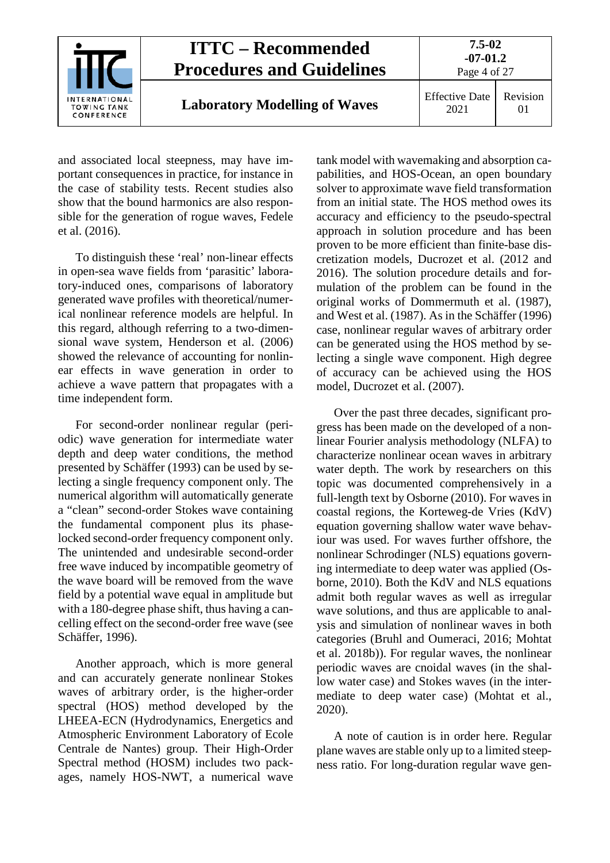

and associated local steepness, may have important consequences in practice, for instance in the case of stability tests. Recent studies also show that the bound harmonics are also responsible for the generation of rogue waves, Fedele et al. (2016).

To distinguish these 'real' non-linear effects in open-sea wave fields from 'parasitic' laboratory-induced ones, comparisons of laboratory generated wave profiles with theoretical/numerical nonlinear reference models are helpful. In this regard, although referring to a two-dimensional wave system, Henderson et al. (2006) showed the relevance of accounting for nonlinear effects in wave generation in order to achieve a wave pattern that propagates with a time independent form.

For second-order nonlinear regular (periodic) wave generation for intermediate water depth and deep water conditions, the method presented by Schäffer (1993) can be used by selecting a single frequency component only. The numerical algorithm will automatically generate a "clean" second-order Stokes wave containing the fundamental component plus its phaselocked second-order frequency component only. The unintended and undesirable second-order free wave induced by incompatible geometry of the wave board will be removed from the wave field by a potential wave equal in amplitude but with a 180-degree phase shift, thus having a cancelling effect on the second-order free wave (see Schäffer, 1996).

Another approach, which is more general and can accurately generate nonlinear Stokes waves of arbitrary order, is the higher-order spectral (HOS) method developed by the LHEEA-ECN (Hydrodynamics, Energetics and Atmospheric Environment Laboratory of Ecole Centrale de Nantes) group. Their High-Order Spectral method (HOSM) includes two packages, namely HOS-NWT, a numerical wave tank model with wavemaking and absorption capabilities, and HOS-Ocean, an open boundary solver to approximate wave field transformation from an initial state. The HOS method owes its accuracy and efficiency to the pseudo-spectral approach in solution procedure and has been proven to be more efficient than finite-base discretization models, Ducrozet et al. (2012 and 2016). The solution procedure details and formulation of the problem can be found in the original works of Dommermuth et al. (1987), and West et al. (1987). As in the Schäffer (1996) case, nonlinear regular waves of arbitrary order can be generated using the HOS method by selecting a single wave component. High degree of accuracy can be achieved using the HOS model, Ducrozet et al. (2007).

Over the past three decades, significant progress has been made on the developed of a nonlinear Fourier analysis methodology (NLFA) to characterize nonlinear ocean waves in arbitrary water depth. The work by researchers on this topic was documented comprehensively in a full-length text by Osborne (2010). For waves in coastal regions, the Korteweg-de Vries (KdV) equation governing shallow water wave behaviour was used. For waves further offshore, the nonlinear Schrodinger (NLS) equations governing intermediate to deep water was applied (Osborne, 2010). Both the KdV and NLS equations admit both regular waves as well as irregular wave solutions, and thus are applicable to analysis and simulation of nonlinear waves in both categories (Bruhl and Oumeraci, 2016; Mohtat et al. 2018b)). For regular waves, the nonlinear periodic waves are cnoidal waves (in the shallow water case) and Stokes waves (in the intermediate to deep water case) (Mohtat et al., 2020).

A note of caution is in order here. Regular plane waves are stable only up to a limited steepness ratio. For long-duration regular wave gen-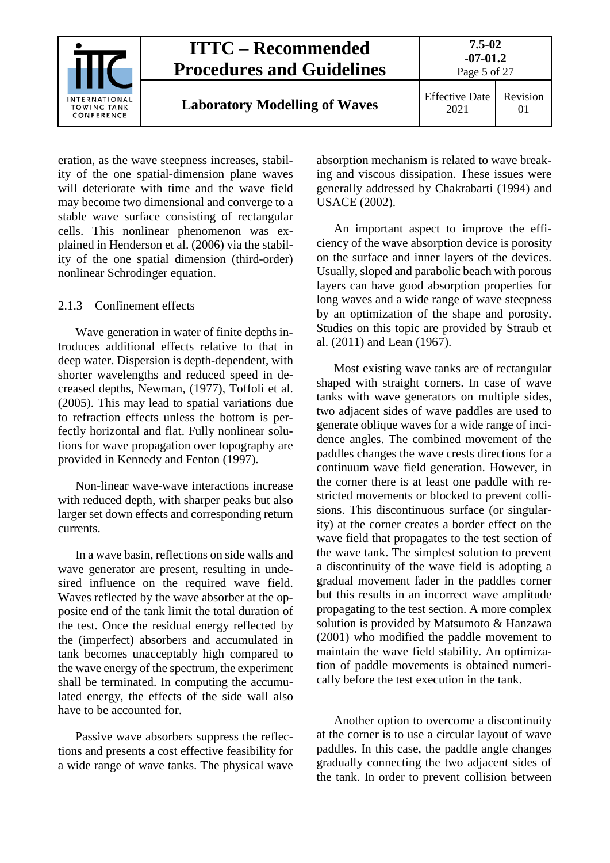

eration, as the wave steepness increases, stability of the one spatial-dimension plane waves will deteriorate with time and the wave field may become two dimensional and converge to a stable wave surface consisting of rectangular cells. This nonlinear phenomenon was explained in Henderson et al. (2006) via the stability of the one spatial dimension (third-order) nonlinear Schrodinger equation.

#### <span id="page-4-0"></span>2.1.3 Confinement effects

Wave generation in water of finite depths introduces additional effects relative to that in deep water. Dispersion is depth-dependent, with shorter wavelengths and reduced speed in decreased depths, Newman, (1977), Toffoli et al. (2005). This may lead to spatial variations due to refraction effects unless the bottom is perfectly horizontal and flat. Fully nonlinear solutions for wave propagation over topography are provided in Kennedy and Fenton (1997).

Non-linear wave-wave interactions increase with reduced depth, with sharper peaks but also larger set down effects and corresponding return currents.

In a wave basin, reflections on side walls and wave generator are present, resulting in undesired influence on the required wave field. Waves reflected by the wave absorber at the opposite end of the tank limit the total duration of the test. Once the residual energy reflected by the (imperfect) absorbers and accumulated in tank becomes unacceptably high compared to the wave energy of the spectrum, the experiment shall be terminated. In computing the accumulated energy, the effects of the side wall also have to be accounted for.

Passive wave absorbers suppress the reflections and presents a cost effective feasibility for a wide range of wave tanks. The physical wave

absorption mechanism is related to wave breaking and viscous dissipation. These issues were generally addressed by Chakrabarti (1994) and USACE (2002).

An important aspect to improve the efficiency of the wave absorption device is porosity on the surface and inner layers of the devices. Usually, sloped and parabolic beach with porous layers can have good absorption properties for long waves and a wide range of wave steepness by an optimization of the shape and porosity. Studies on this topic are provided by Straub et al. (2011) and Lean (1967).

Most existing wave tanks are of rectangular shaped with straight corners. In case of wave tanks with wave generators on multiple sides, two adjacent sides of wave paddles are used to generate oblique waves for a wide range of incidence angles. The combined movement of the paddles changes the wave crests directions for a continuum wave field generation. However, in the corner there is at least one paddle with restricted movements or blocked to prevent collisions. This discontinuous surface (or singularity) at the corner creates a border effect on the wave field that propagates to the test section of the wave tank. The simplest solution to prevent a discontinuity of the wave field is adopting a gradual movement fader in the paddles corner but this results in an incorrect wave amplitude propagating to the test section. A more complex solution is provided by Matsumoto & Hanzawa (2001) who modified the paddle movement to maintain the wave field stability. An optimization of paddle movements is obtained numerically before the test execution in the tank.

Another option to overcome a discontinuity at the corner is to use a circular layout of wave paddles. In this case, the paddle angle changes gradually connecting the two adjacent sides of the tank. In order to prevent collision between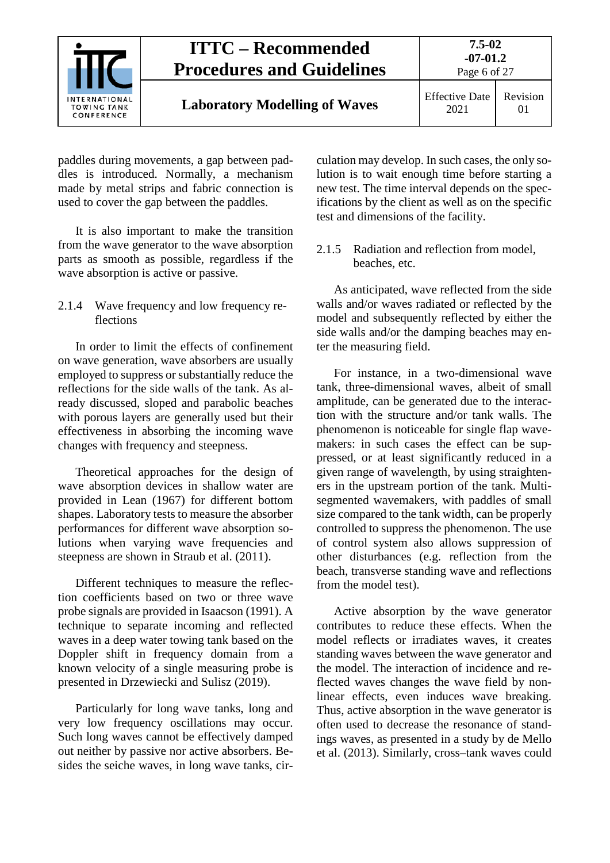

paddles during movements, a gap between paddles is introduced. Normally, a mechanism made by metal strips and fabric connection is used to cover the gap between the paddles.

It is also important to make the transition from the wave generator to the wave absorption parts as smooth as possible, regardless if the wave absorption is active or passive.

#### <span id="page-5-0"></span>2.1.4 Wave frequency and low frequency reflections

In order to limit the effects of confinement on wave generation, wave absorbers are usually employed to suppress or substantially reduce the reflections for the side walls of the tank. As already discussed, sloped and parabolic beaches with porous layers are generally used but their effectiveness in absorbing the incoming wave changes with frequency and steepness.

Theoretical approaches for the design of wave absorption devices in shallow water are provided in Lean (1967) for different bottom shapes. Laboratory tests to measure the absorber performances for different wave absorption solutions when varying wave frequencies and steepness are shown in Straub et al. (2011).

Different techniques to measure the reflection coefficients based on two or three wave probe signals are provided in Isaacson (1991). A technique to separate incoming and reflected waves in a deep water towing tank based on the Doppler shift in frequency domain from a known velocity of a single measuring probe is presented in Drzewiecki and Sulisz (2019).

Particularly for long wave tanks, long and very low frequency oscillations may occur. Such long waves cannot be effectively damped out neither by passive nor active absorbers. Besides the seiche waves, in long wave tanks, circulation may develop. In such cases, the only solution is to wait enough time before starting a new test. The time interval depends on the specifications by the client as well as on the specific test and dimensions of the facility.

<span id="page-5-1"></span>2.1.5 Radiation and reflection from model, beaches, etc.

As anticipated, wave reflected from the side walls and/or waves radiated or reflected by the model and subsequently reflected by either the side walls and/or the damping beaches may enter the measuring field.

For instance, in a two-dimensional wave tank, three-dimensional waves, albeit of small amplitude, can be generated due to the interaction with the structure and/or tank walls. The phenomenon is noticeable for single flap wavemakers: in such cases the effect can be suppressed, or at least significantly reduced in a given range of wavelength, by using straighteners in the upstream portion of the tank. Multisegmented wavemakers, with paddles of small size compared to the tank width, can be properly controlled to suppress the phenomenon. The use of control system also allows suppression of other disturbances (e.g. reflection from the beach, transverse standing wave and reflections from the model test).

Active absorption by the wave generator contributes to reduce these effects. When the model reflects or irradiates waves, it creates standing waves between the wave generator and the model. The interaction of incidence and reflected waves changes the wave field by nonlinear effects, even induces wave breaking. Thus, active absorption in the wave generator is often used to decrease the resonance of standings waves, as presented in a study by de Mello et al. (2013). Similarly, cross–tank waves could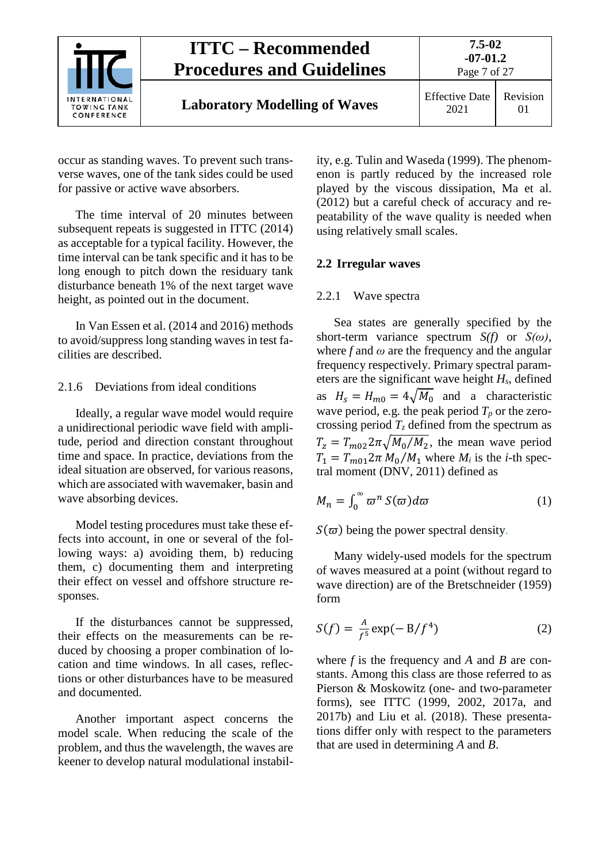

occur as standing waves. To prevent such transverse waves, one of the tank sides could be used for passive or active wave absorbers.

The time interval of 20 minutes between subsequent repeats is suggested in ITTC (2014) as acceptable for a typical facility. However, the time interval can be tank specific and it has to be long enough to pitch down the residuary tank disturbance beneath 1% of the next target wave height, as pointed out in the document.

In Van Essen et al. (2014 and 2016) methods to avoid/suppress long standing waves in test facilities are described.

#### <span id="page-6-0"></span>2.1.6 Deviations from ideal conditions

Ideally, a regular wave model would require a unidirectional periodic wave field with amplitude, period and direction constant throughout time and space. In practice, deviations from the ideal situation are observed, for various reasons, which are associated with wavemaker, basin and wave absorbing devices.

Model testing procedures must take these effects into account, in one or several of the following ways: a) avoiding them, b) reducing them, c) documenting them and interpreting their effect on vessel and offshore structure responses.

If the disturbances cannot be suppressed, their effects on the measurements can be reduced by choosing a proper combination of location and time windows. In all cases, reflections or other disturbances have to be measured and documented.

Another important aspect concerns the model scale. When reducing the scale of the problem, and thus the wavelength, the waves are keener to develop natural modulational instability, e.g. Tulin and Waseda (1999). The phenomenon is partly reduced by the increased role played by the viscous dissipation, Ma et al. (2012) but a careful check of accuracy and repeatability of the wave quality is needed when using relatively small scales.

#### <span id="page-6-2"></span><span id="page-6-1"></span>**2.2 Irregular waves**

#### 2.2.1 Wave spectra

Sea states are generally specified by the short-term variance spectrum *S(f)* or *S(ω)*, where  $f$  and  $\omega$  are the frequency and the angular frequency respectively. Primary spectral parameters are the significant wave height *Hs*, defined as  $H_s = H_{m0} = 4\sqrt{M_0}$  and a characteristic wave period, e.g. the peak period  $T_p$  or the zerocrossing period  $T_z$  defined from the spectrum as  $T_z = T_{m02} 2\pi \sqrt{M_0/M_2}$ , the mean wave period  $T_1 = T_{m01} 2\pi M_0/M_1$  where  $M_i$  is the *i*-th spectral moment (DNV, 2011) defined as

$$
M_n = \int_0^\infty \varpi^n S(\varpi) d\varpi \tag{1}
$$

 $S(\varpi)$  being the power spectral density.

Many widely-used models for the spectrum of waves measured at a point (without regard to wave direction) are of the Bretschneider (1959) form

$$
S(f) = \frac{A}{f^5} \exp(-B/f^4)
$$
 (2)

where *f* is the frequency and *A* and *B* are constants. Among this class are those referred to as Pierson & Moskowitz (one- and two-parameter forms), see ITTC (1999, 2002, 2017a, and 2017b) and Liu et al. (2018). These presentations differ only with respect to the parameters that are used in determining *A* and *B*.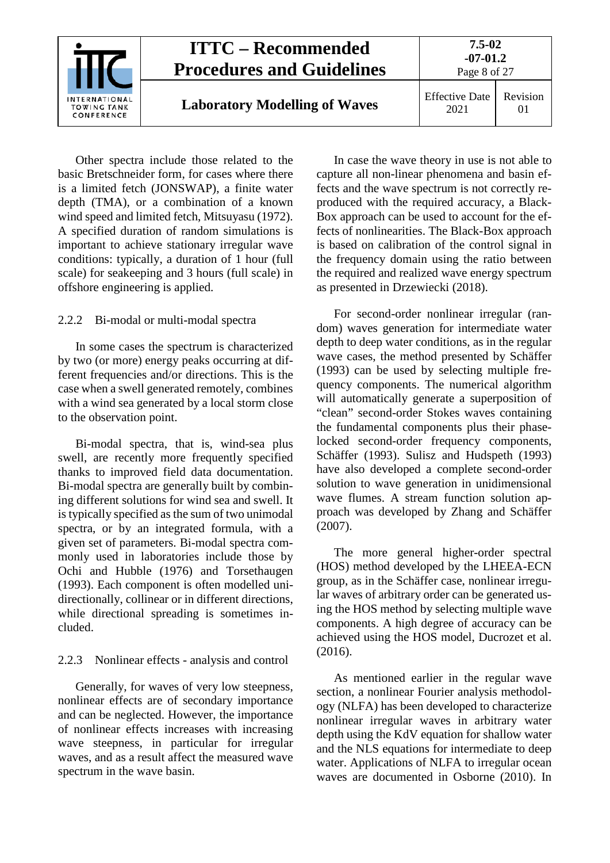

Other spectra include those related to the basic Bretschneider form, for cases where there is a limited fetch (JONSWAP), a finite water depth (TMA), or a combination of a known wind speed and limited fetch, Mitsuyasu (1972). A specified duration of random simulations is important to achieve stationary irregular wave conditions: typically, a duration of 1 hour (full scale) for seakeeping and 3 hours (full scale) in offshore engineering is applied.

#### <span id="page-7-0"></span>2.2.2 Bi-modal or multi-modal spectra

In some cases the spectrum is characterized by two (or more) energy peaks occurring at different frequencies and/or directions. This is the case when a swell generated remotely, combines with a wind sea generated by a local storm close to the observation point.

Bi-modal spectra, that is, wind-sea plus swell, are recently more frequently specified thanks to improved field data documentation. Bi-modal spectra are generally built by combining different solutions for wind sea and swell. It is typically specified as the sum of two unimodal spectra, or by an integrated formula, with a given set of parameters. Bi-modal spectra commonly used in laboratories include those by Ochi and Hubble (1976) and Torsethaugen (1993). Each component is often modelled unidirectionally, collinear or in different directions, while directional spreading is sometimes included.

#### <span id="page-7-1"></span>2.2.3 Nonlinear effects - analysis and control

Generally, for waves of very low steepness, nonlinear effects are of secondary importance and can be neglected. However, the importance of nonlinear effects increases with increasing wave steepness, in particular for irregular waves, and as a result affect the measured wave spectrum in the wave basin.

In case the wave theory in use is not able to capture all non-linear phenomena and basin effects and the wave spectrum is not correctly reproduced with the required accuracy, a Black-Box approach can be used to account for the effects of nonlinearities. The Black-Box approach is based on calibration of the control signal in the frequency domain using the ratio between the required and realized wave energy spectrum as presented in Drzewiecki (2018).

For second-order nonlinear irregular (random) waves generation for intermediate water depth to deep water conditions, as in the regular wave cases, the method presented by Schäffer (1993) can be used by selecting multiple frequency components. The numerical algorithm will automatically generate a superposition of "clean" second-order Stokes waves containing the fundamental components plus their phaselocked second-order frequency components, Schäffer (1993). Sulisz and Hudspeth (1993) have also developed a complete second-order solution to wave generation in unidimensional wave flumes. A stream function solution approach was developed by Zhang and Schäffer (2007).

The more general higher-order spectral (HOS) method developed by the LHEEA-ECN group, as in the Schäffer case, nonlinear irregular waves of arbitrary order can be generated using the HOS method by selecting multiple wave components. A high degree of accuracy can be achieved using the HOS model, Ducrozet et al. (2016).

As mentioned earlier in the regular wave section, a nonlinear Fourier analysis methodology (NLFA) has been developed to characterize nonlinear irregular waves in arbitrary water depth using the KdV equation for shallow water and the NLS equations for intermediate to deep water. Applications of NLFA to irregular ocean waves are documented in Osborne (2010). In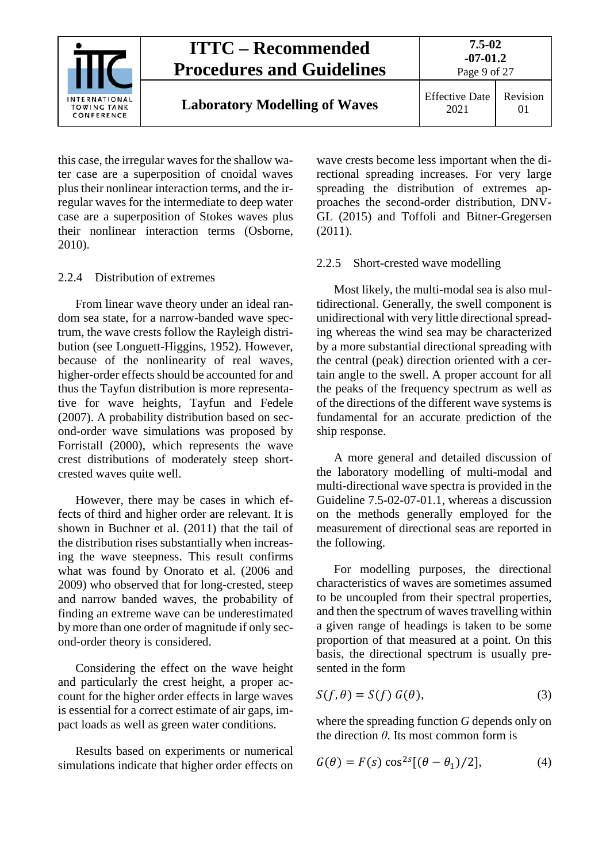

this case, the irregular waves for the shallow water case are a superposition of cnoidal waves plus their nonlinear interaction terms, and the irregular waves for the intermediate to deep water case are a superposition of Stokes waves plus their nonlinear interaction terms (Osborne, 2010).

#### <span id="page-8-0"></span>2.2.4 Distribution of extremes

From linear wave theory under an ideal random sea state, for a narrow-banded wave spectrum, the wave crests follow the Rayleigh distribution (see Longuett-Higgins, 1952). However, because of the nonlinearity of real waves, higher-order effects should be accounted for and thus the Tayfun distribution is more representative for wave heights, Tayfun and Fedele (2007). A probability distribution based on second-order wave simulations was proposed by Forristall (2000), which represents the wave crest distributions of moderately steep shortcrested waves quite well.

However, there may be cases in which effects of third and higher order are relevant. It is shown in Buchner et al. (2011) that the tail of the distribution rises substantially when increasing the wave steepness. This result confirms what was found by Onorato et al. (2006 and 2009) who observed that for long-crested, steep and narrow banded waves, the probability of finding an extreme wave can be underestimated by more than one order of magnitude if only second-order theory is considered.

Considering the effect on the wave height and particularly the crest height, a proper account for the higher order effects in large waves is essential for a correct estimate of air gaps, impact loads as well as green water conditions.

Results based on experiments or numerical simulations indicate that higher order effects on

wave crests become less important when the directional spreading increases. For very large spreading the distribution of extremes approaches the second-order distribution, DNV-GL (2015) and Toffoli and Bitner-Gregersen (2011).

#### <span id="page-8-1"></span>2.2.5 Short-crested wave modelling

Most likely, the multi-modal sea is also multidirectional. Generally, the swell component is unidirectional with very little directional spreading whereas the wind sea may be characterized by a more substantial directional spreading with the central (peak) direction oriented with a certain angle to the swell. A proper account for all the peaks of the frequency spectrum as well as of the directions of the different wave systems is fundamental for an accurate prediction of the ship response.

A more general and detailed discussion of the laboratory modelling of multi-modal and multi-directional wave spectra is provided in the Guideline 7.5-02-07-01.1, whereas a discussion on the methods generally employed for the measurement of directional seas are reported in the following.

For modelling purposes, the directional characteristics of waves are sometimes assumed to be uncoupled from their spectral properties, and then the spectrum of waves travelling within a given range of headings is taken to be some proportion of that measured at a point. On this basis, the directional spectrum is usually presented in the form

$$
S(f, \theta) = S(f) G(\theta), \tag{3}
$$

where the spreading function *G* depends only on the direction *θ*. Its most common form is

$$
G(\theta) = F(s) \cos^{2s} [(\theta - \theta_1)/2], \tag{4}
$$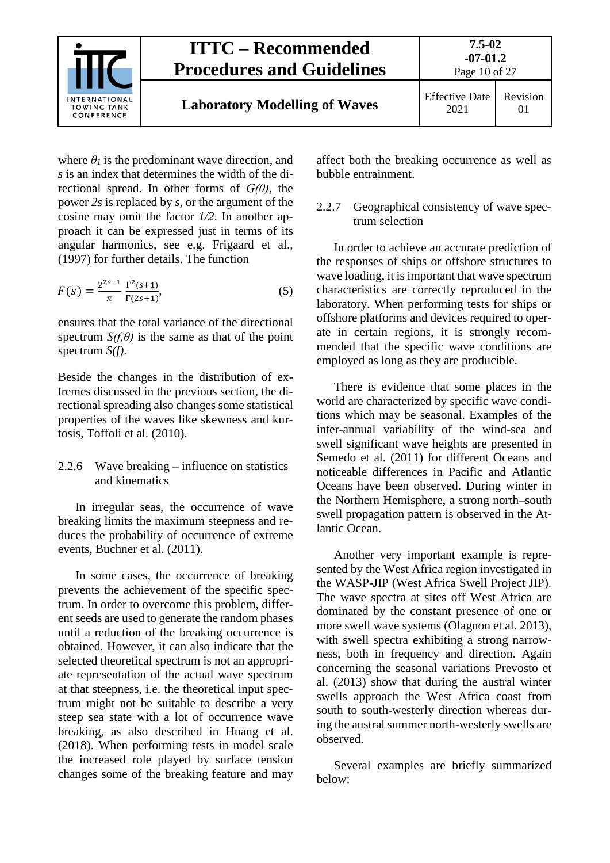

where  $\theta_l$  is the predominant wave direction, and *s* is an index that determines the width of the directional spread. In other forms of *G(θ)*, the power *2s* is replaced by *s*, or the argument of the cosine may omit the factor *1/2*. In another approach it can be expressed just in terms of its angular harmonics, see e.g. Frigaard et al., (1997) for further details. The function

$$
F(s) = \frac{2^{2s-1}}{\pi} \frac{\Gamma^2(s+1)}{\Gamma(2s+1)},
$$
\n(5)

ensures that the total variance of the directional spectrum  $S(f, \theta)$  is the same as that of the point spectrum *S(f)*.

Beside the changes in the distribution of extremes discussed in the previous section, the directional spreading also changes some statistical properties of the waves like skewness and kurtosis, Toffoli et al. (2010).

#### <span id="page-9-0"></span>2.2.6 Wave breaking – influence on statistics and kinematics

In irregular seas, the occurrence of wave breaking limits the maximum steepness and reduces the probability of occurrence of extreme events, Buchner et al. (2011).

In some cases, the occurrence of breaking prevents the achievement of the specific spectrum. In order to overcome this problem, different seeds are used to generate the random phases until a reduction of the breaking occurrence is obtained. However, it can also indicate that the selected theoretical spectrum is not an appropriate representation of the actual wave spectrum at that steepness, i.e. the theoretical input spectrum might not be suitable to describe a very steep sea state with a lot of occurrence wave breaking, as also described in Huang et al. (2018). When performing tests in model scale the increased role played by surface tension changes some of the breaking feature and may affect both the breaking occurrence as well as bubble entrainment.

#### <span id="page-9-1"></span>2.2.7 Geographical consistency of wave spectrum selection

In order to achieve an accurate prediction of the responses of ships or offshore structures to wave loading, it is important that wave spectrum characteristics are correctly reproduced in the laboratory. When performing tests for ships or offshore platforms and devices required to operate in certain regions, it is strongly recommended that the specific wave conditions are employed as long as they are producible.

There is evidence that some places in the world are characterized by specific wave conditions which may be seasonal. Examples of the inter-annual variability of the wind-sea and swell significant wave heights are presented in Semedo et al. (2011) for different Oceans and noticeable differences in Pacific and Atlantic Oceans have been observed. During winter in the Northern Hemisphere, a strong north–south swell propagation pattern is observed in the Atlantic Ocean.

Another very important example is represented by the West Africa region investigated in the WASP-JIP (West Africa Swell Project JIP). The wave spectra at sites off West Africa are dominated by the constant presence of one or more swell wave systems (Olagnon et al. 2013), with swell spectra exhibiting a strong narrowness, both in frequency and direction. Again concerning the seasonal variations Prevosto et al. (2013) show that during the austral winter swells approach the West Africa coast from south to south-westerly direction whereas during the austral summer north-westerly swells are observed.

Several examples are briefly summarized below: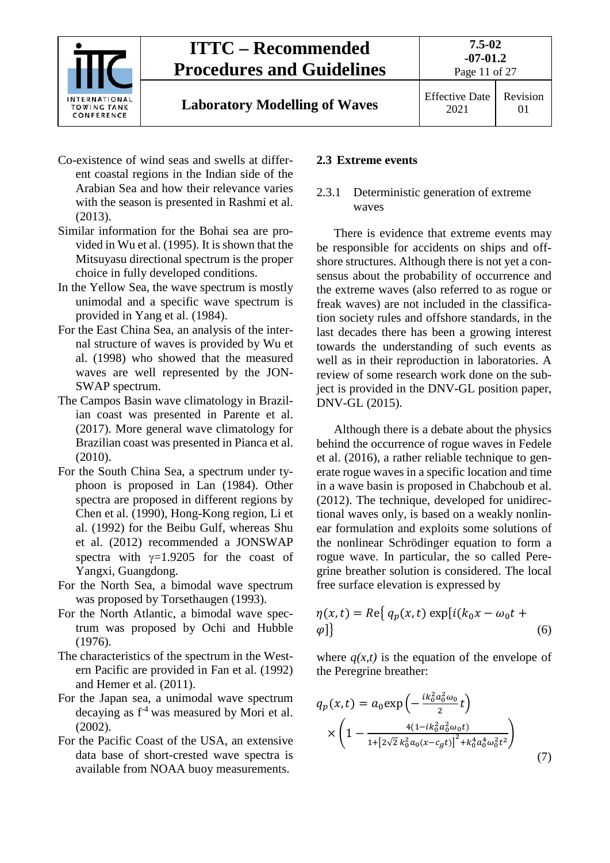

**7.5-02**

- Co-existence of wind seas and swells at different coastal regions in the Indian side of the Arabian Sea and how their relevance varies with the season is presented in Rashmi et al. (2013).
- Similar information for the Bohai sea are provided in Wu et al. (1995). It is shown that the Mitsuyasu directional spectrum is the proper choice in fully developed conditions.
- In the Yellow Sea, the wave spectrum is mostly unimodal and a specific wave spectrum is provided in Yang et al. (1984).
- For the East China Sea, an analysis of the internal structure of waves is provided by Wu et al. (1998) who showed that the measured waves are well represented by the JON-SWAP spectrum.
- The Campos Basin wave climatology in Brazilian coast was presented in Parente et al. (2017). More general wave climatology for Brazilian coast was presented in Pianca et al. (2010).
- For the South China Sea, a spectrum under typhoon is proposed in Lan (1984). Other spectra are proposed in different regions by Chen et al. (1990), Hong-Kong region, Li et al. (1992) for the Beibu Gulf, whereas Shu et al. (2012) recommended a JONSWAP spectra with  $\gamma=1.9205$  for the coast of Yangxi, Guangdong.
- For the North Sea, a bimodal wave spectrum was proposed by Torsethaugen (1993).
- For the North Atlantic, a bimodal wave spectrum was proposed by Ochi and Hubble (1976).
- The characteristics of the spectrum in the Western Pacific are provided in Fan et al. (1992) and Hemer et al. (2011).
- For the Japan sea, a unimodal wave spectrum decaying as  $f^4$  was measured by Mori et al.  $(2002)$ .
- For the Pacific Coast of the USA, an extensive data base of short-crested wave spectra is available from NOAA buoy measurements.

#### <span id="page-10-1"></span><span id="page-10-0"></span>**2.3 Extreme events**

#### 2.3.1 Deterministic generation of extreme waves

There is evidence that extreme events may be responsible for accidents on ships and offshore structures. Although there is not yet a consensus about the probability of occurrence and the extreme waves (also referred to as rogue or freak waves) are not included in the classification society rules and offshore standards, in the last decades there has been a growing interest towards the understanding of such events as well as in their reproduction in laboratories. A review of some research work done on the subject is provided in the DNV-GL position paper, DNV-GL (2015).

Although there is a debate about the physics behind the occurrence of rogue waves in Fedele et al. (2016), a rather reliable technique to generate rogue waves in a specific location and time in a wave basin is proposed in Chabchoub et al. (2012). The technique, developed for unidirectional waves only, is based on a weakly nonlinear formulation and exploits some solutions of the nonlinear Schrödinger equation to form a rogue wave. In particular, the so called Peregrine breather solution is considered. The local free surface elevation is expressed by

$$
\eta(x,t) = Re\{ q_p(x,t) \exp[i(k_0x - \omega_0t + \varphi] \}
$$
\n(6)

where  $q(x,t)$  is the equation of the envelope of the Peregrine breather:

$$
q_p(x,t) = a_0 \exp\left(-\frac{ik_0^2 a_0^2 \omega_0}{2}t\right)
$$

$$
\times \left(1 - \frac{4(1 - ik_0^2 a_0^2 \omega_0 t)}{1 + [2\sqrt{2}k_0^2 a_0 (x - c_g t)]^2 + k_0^4 a_0^4 \omega_0^2 t^2}\right)
$$
(7)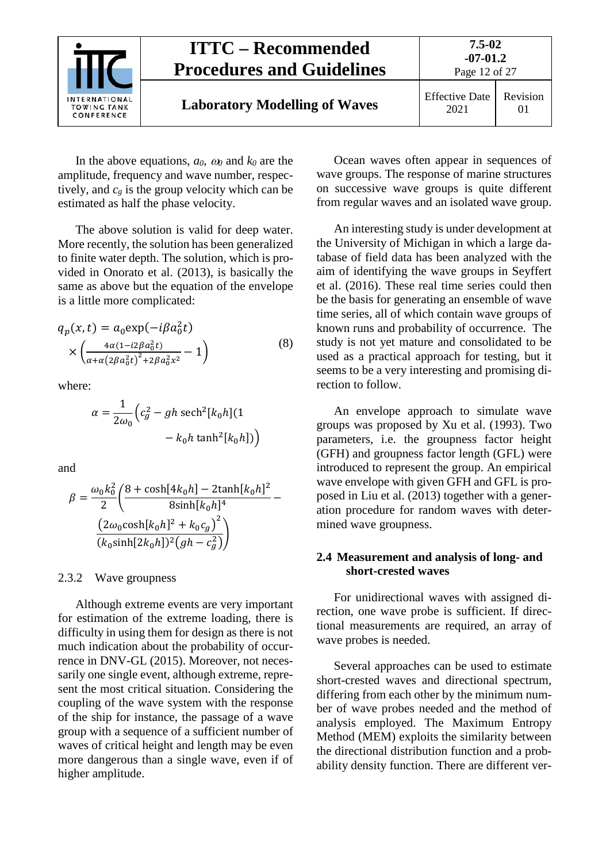

In the above equations, *a0*, <sup>ω</sup>*<sup>0</sup>* and *k0* are the amplitude, frequency and wave number, respectively, and  $c_g$  is the group velocity which can be estimated as half the phase velocity.

The above solution is valid for deep water. More recently, the solution has been generalized to finite water depth. The solution, which is provided in Onorato et al. (2013), is basically the same as above but the equation of the envelope is a little more complicated:

$$
q_p(x,t) = a_0 \exp(-i\beta a_0^2 t)
$$
  
 
$$
\times \left( \frac{4\alpha (1 - i2\beta a_0^2 t)}{\alpha + \alpha (2\beta a_0^2 t)^2 + 2\beta a_0^2 x^2} - 1 \right)
$$
 (8)

where:

$$
\alpha = \frac{1}{2\omega_0} \Big( c_g^2 - gh \operatorname{sech}^2[k_0 h](1 - k_0 h \tanh^2[k_0 h]) \Big)
$$

and

$$
\beta = \frac{\omega_0 k_0^2}{2} \left( \frac{8 + \cosh[4k_0 h] - 2 \tanh[k_0 h]^2}{8 \sinh[k_0 h]^4} - \frac{(2\omega_0 \cosh[k_0 h]^2 + k_0 c_g)^2}{(k_0 \sinh[2k_0 h])^2 (gh - c_g^2)} \right)
$$

#### <span id="page-11-0"></span>2.3.2 Wave groupness

Although extreme events are very important for estimation of the extreme loading, there is difficulty in using them for design as there is not much indication about the probability of occurrence in DNV-GL (2015). Moreover, not necessarily one single event, although extreme, represent the most critical situation. Considering the coupling of the wave system with the response of the ship for instance, the passage of a wave group with a sequence of a sufficient number of waves of critical height and length may be even more dangerous than a single wave, even if of higher amplitude.

Ocean waves often appear in sequences of wave groups. The response of marine structures on successive wave groups is quite different from regular waves and an isolated wave group.

An interesting study is under development at the University of Michigan in which a large database of field data has been analyzed with the aim of identifying the wave groups in Seyffert et al. (2016). These real time series could then be the basis for generating an ensemble of wave time series, all of which contain wave groups of known runs and probability of occurrence. The study is not yet mature and consolidated to be used as a practical approach for testing, but it seems to be a very interesting and promising direction to follow.

An envelope approach to simulate wave groups was proposed by Xu et al. (1993). Two parameters, i.e. the groupness factor height (GFH) and groupness factor length (GFL) were introduced to represent the group. An empirical wave envelope with given GFH and GFL is proposed in Liu et al. (2013) together with a generation procedure for random waves with determined wave groupness.

#### <span id="page-11-1"></span>**2.4 Measurement and analysis of long- and short-crested waves**

For unidirectional waves with assigned direction, one wave probe is sufficient. If directional measurements are required, an array of wave probes is needed.

Several approaches can be used to estimate short-crested waves and directional spectrum, differing from each other by the minimum number of wave probes needed and the method of analysis employed. The Maximum Entropy Method (MEM) exploits the similarity between the directional distribution function and a probability density function. There are different ver-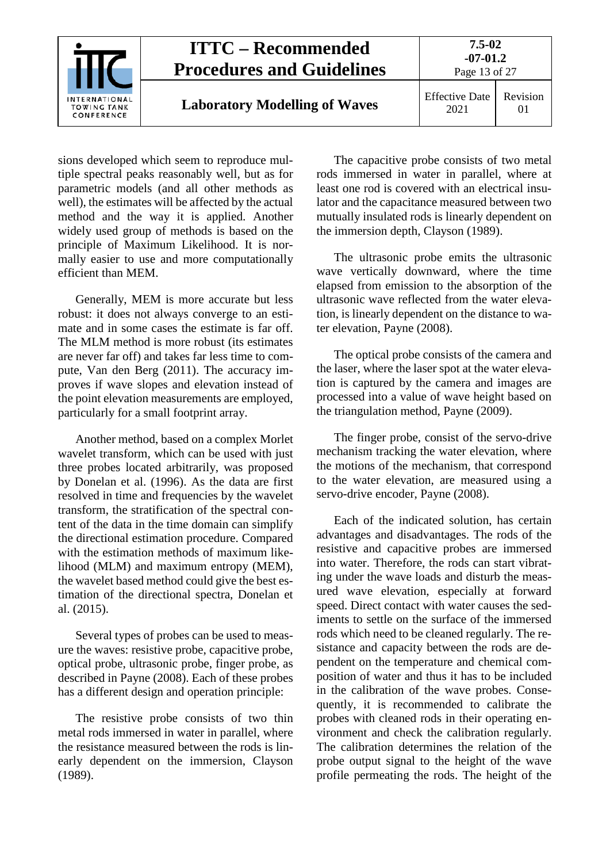

sions developed which seem to reproduce multiple spectral peaks reasonably well, but as for parametric models (and all other methods as well), the estimates will be affected by the actual method and the way it is applied. Another widely used group of methods is based on the principle of Maximum Likelihood. It is normally easier to use and more computationally efficient than MEM.

Generally, MEM is more accurate but less robust: it does not always converge to an estimate and in some cases the estimate is far off. The MLM method is more robust (its estimates are never far off) and takes far less time to compute, Van den Berg (2011). The accuracy improves if wave slopes and elevation instead of the point elevation measurements are employed, particularly for a small footprint array.

Another method, based on a complex Morlet wavelet transform, which can be used with just three probes located arbitrarily, was proposed by Donelan et al. (1996). As the data are first resolved in time and frequencies by the wavelet transform, the stratification of the spectral content of the data in the time domain can simplify the directional estimation procedure. Compared with the estimation methods of maximum likelihood (MLM) and maximum entropy (MEM), the wavelet based method could give the best estimation of the directional spectra, Donelan et al. (2015).

Several types of probes can be used to measure the waves: resistive probe, capacitive probe, optical probe, ultrasonic probe, finger probe, as described in Payne (2008). Each of these probes has a different design and operation principle:

The resistive probe consists of two thin metal rods immersed in water in parallel, where the resistance measured between the rods is linearly dependent on the immersion, Clayson (1989).

The capacitive probe consists of two metal rods immersed in water in parallel, where at least one rod is covered with an electrical insulator and the capacitance measured between two mutually insulated rods is linearly dependent on the immersion depth, Clayson (1989).

The ultrasonic probe emits the ultrasonic wave vertically downward, where the time elapsed from emission to the absorption of the ultrasonic wave reflected from the water elevation, is linearly dependent on the distance to water elevation, Payne (2008).

The optical probe consists of the camera and the laser, where the laser spot at the water elevation is captured by the camera and images are processed into a value of wave height based on the triangulation method, Payne (2009).

The finger probe, consist of the servo-drive mechanism tracking the water elevation, where the motions of the mechanism, that correspond to the water elevation, are measured using a servo-drive encoder, Payne (2008).

Each of the indicated solution, has certain advantages and disadvantages. The rods of the resistive and capacitive probes are immersed into water. Therefore, the rods can start vibrating under the wave loads and disturb the measured wave elevation, especially at forward speed. Direct contact with water causes the sediments to settle on the surface of the immersed rods which need to be cleaned regularly. The resistance and capacity between the rods are dependent on the temperature and chemical composition of water and thus it has to be included in the calibration of the wave probes. Consequently, it is recommended to calibrate the probes with cleaned rods in their operating environment and check the calibration regularly. The calibration determines the relation of the probe output signal to the height of the wave profile permeating the rods. The height of the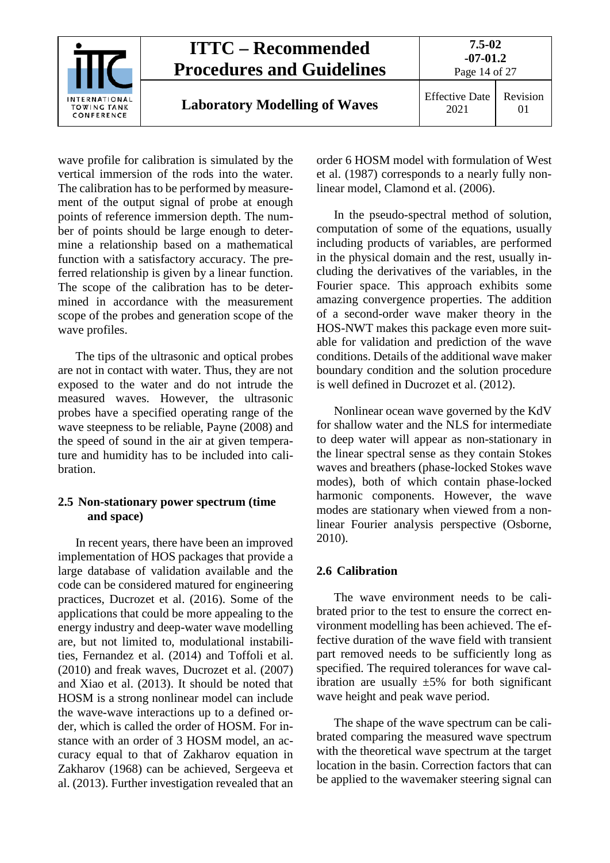

wave profile for calibration is simulated by the vertical immersion of the rods into the water. The calibration has to be performed by measurement of the output signal of probe at enough points of reference immersion depth. The number of points should be large enough to determine a relationship based on a mathematical function with a satisfactory accuracy. The preferred relationship is given by a linear function. The scope of the calibration has to be determined in accordance with the measurement scope of the probes and generation scope of the wave profiles.

The tips of the ultrasonic and optical probes are not in contact with water. Thus, they are not exposed to the water and do not intrude the measured waves. However, the ultrasonic probes have a specified operating range of the wave steepness to be reliable, Payne (2008) and the speed of sound in the air at given temperature and humidity has to be included into calibration.

#### <span id="page-13-0"></span>**2.5 Non-stationary power spectrum (time and space)**

In recent years, there have been an improved implementation of HOS packages that provide a large database of validation available and the code can be considered matured for engineering practices, Ducrozet et al. (2016). Some of the applications that could be more appealing to the energy industry and deep-water wave modelling are, but not limited to, modulational instabilities, Fernandez et al. (2014) and Toffoli et al. (2010) and freak waves, Ducrozet et al. (2007) and Xiao et al. (2013). It should be noted that HOSM is a strong nonlinear model can include the wave-wave interactions up to a defined order, which is called the order of HOSM. For instance with an order of 3 HOSM model, an accuracy equal to that of Zakharov equation in Zakharov (1968) can be achieved, Sergeeva et al. (2013). Further investigation revealed that an

order 6 HOSM model with formulation of West et al. (1987) corresponds to a nearly fully nonlinear model, Clamond et al. (2006).

In the pseudo-spectral method of solution, computation of some of the equations, usually including products of variables, are performed in the physical domain and the rest, usually including the derivatives of the variables, in the Fourier space. This approach exhibits some amazing convergence properties. The addition of a second-order wave maker theory in the HOS-NWT makes this package even more suitable for validation and prediction of the wave conditions. Details of the additional wave maker boundary condition and the solution procedure is well defined in Ducrozet et al. (2012).

Nonlinear ocean wave governed by the KdV for shallow water and the NLS for intermediate to deep water will appear as non-stationary in the linear spectral sense as they contain Stokes waves and breathers (phase-locked Stokes wave modes), both of which contain phase-locked harmonic components. However, the wave modes are stationary when viewed from a nonlinear Fourier analysis perspective (Osborne, 2010).

#### <span id="page-13-1"></span>**2.6 Calibration**

The wave environment needs to be calibrated prior to the test to ensure the correct environment modelling has been achieved. The effective duration of the wave field with transient part removed needs to be sufficiently long as specified. The required tolerances for wave calibration are usually  $\pm 5\%$  for both significant wave height and peak wave period.

The shape of the wave spectrum can be calibrated comparing the measured wave spectrum with the theoretical wave spectrum at the target location in the basin. Correction factors that can be applied to the wavemaker steering signal can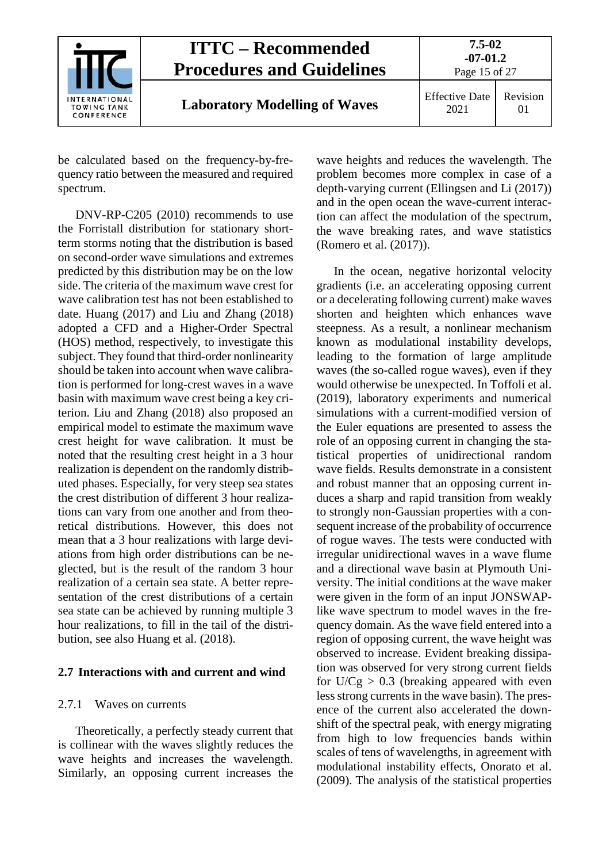

be calculated based on the frequency-by-frequency ratio between the measured and required spectrum.

DNV-RP-C205 (2010) recommends to use the Forristall distribution for stationary shortterm storms noting that the distribution is based on second-order wave simulations and extremes predicted by this distribution may be on the low side. The criteria of the maximum wave crest for wave calibration test has not been established to date. Huang (2017) and Liu and Zhang (2018) adopted a CFD and a Higher-Order Spectral (HOS) method, respectively, to investigate this subject. They found that third-order nonlinearity should be taken into account when wave calibration is performed for long-crest waves in a wave basin with maximum wave crest being a key criterion. Liu and Zhang (2018) also proposed an empirical model to estimate the maximum wave crest height for wave calibration. It must be noted that the resulting crest height in a 3 hour realization is dependent on the randomly distributed phases. Especially, for very steep sea states the crest distribution of different 3 hour realizations can vary from one another and from theoretical distributions. However, this does not mean that a 3 hour realizations with large deviations from high order distributions can be neglected, but is the result of the random 3 hour realization of a certain sea state. A better representation of the crest distributions of a certain sea state can be achieved by running multiple 3 hour realizations, to fill in the tail of the distribution, see also Huang et al. (2018).

#### <span id="page-14-1"></span><span id="page-14-0"></span>**2.7 Interactions with and current and wind**

#### 2.7.1 Waves on currents

Theoretically, a perfectly steady current that is collinear with the waves slightly reduces the wave heights and increases the wavelength. Similarly, an opposing current increases the

wave heights and reduces the wavelength. The problem becomes more complex in case of a depth-varying current (Ellingsen and Li (2017)) and in the open ocean the wave-current interaction can affect the modulation of the spectrum, the wave breaking rates, and wave statistics (Romero et al. (2017)).

In the ocean, negative horizontal velocity gradients (i.e. an accelerating opposing current or a decelerating following current) make waves shorten and heighten which enhances wave steepness. As a result, a nonlinear mechanism known as modulational instability develops, leading to the formation of large amplitude waves (the so-called rogue waves), even if they would otherwise be unexpected. In Toffoli et al. (2019), laboratory experiments and numerical simulations with a current-modified version of the Euler equations are presented to assess the role of an opposing current in changing the statistical properties of unidirectional random wave fields. Results demonstrate in a consistent and robust manner that an opposing current induces a sharp and rapid transition from weakly to strongly non-Gaussian properties with a consequent increase of the probability of occurrence of rogue waves. The tests were conducted with irregular unidirectional waves in a wave flume and a directional wave basin at Plymouth University. The initial conditions at the wave maker were given in the form of an input JONSWAPlike wave spectrum to model waves in the frequency domain. As the wave field entered into a region of opposing current, the wave height was observed to increase. Evident breaking dissipation was observed for very strong current fields for  $U/Cg > 0.3$  (breaking appeared with even less strong currents in the wave basin). The presence of the current also accelerated the downshift of the spectral peak, with energy migrating from high to low frequencies bands within scales of tens of wavelengths, in agreement with modulational instability effects, Onorato et al. (2009). The analysis of the statistical properties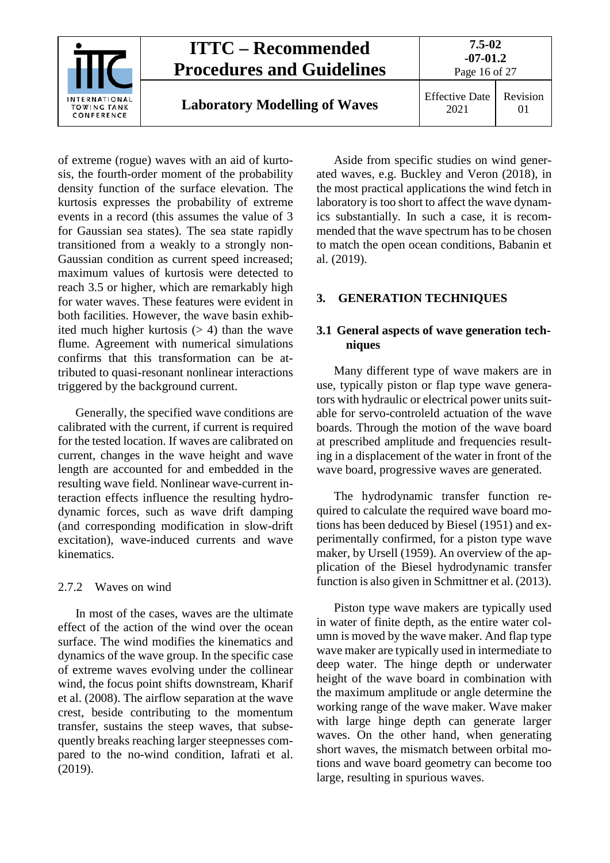

of extreme (rogue) waves with an aid of kurtosis, the fourth-order moment of the probability density function of the surface elevation. The kurtosis expresses the probability of extreme events in a record (this assumes the value of 3 for Gaussian sea states). The sea state rapidly transitioned from a weakly to a strongly non-Gaussian condition as current speed increased; maximum values of kurtosis were detected to reach 3.5 or higher, which are remarkably high for water waves. These features were evident in both facilities. However, the wave basin exhibited much higher kurtosis  $(> 4)$  than the wave flume. Agreement with numerical simulations confirms that this transformation can be attributed to quasi-resonant nonlinear interactions triggered by the background current.

Generally, the specified wave conditions are calibrated with the current, if current is required for the tested location. If waves are calibrated on current, changes in the wave height and wave length are accounted for and embedded in the resulting wave field. Nonlinear wave-current interaction effects influence the resulting hydrodynamic forces, such as wave drift damping (and corresponding modification in slow-drift excitation), wave-induced currents and wave kinematics.

#### <span id="page-15-0"></span>2.7.2 Waves on wind

In most of the cases, waves are the ultimate effect of the action of the wind over the ocean surface. The wind modifies the kinematics and dynamics of the wave group. In the specific case of extreme waves evolving under the collinear wind, the focus point shifts downstream, Kharif et al. (2008). The airflow separation at the wave crest, beside contributing to the momentum transfer, sustains the steep waves, that subsequently breaks reaching larger steepnesses compared to the no-wind condition, Iafrati et al. (2019).

Aside from specific studies on wind generated waves, e.g. Buckley and Veron (2018), in the most practical applications the wind fetch in laboratory is too short to affect the wave dynamics substantially. In such a case, it is recommended that the wave spectrum has to be chosen to match the open ocean conditions, Babanin et al. (2019).

#### <span id="page-15-2"></span><span id="page-15-1"></span>**3. GENERATION TECHNIQUES**

#### **3.1 General aspects of wave generation techniques**

Many different type of wave makers are in use, typically piston or flap type wave generators with hydraulic or electrical power units suitable for servo-controleld actuation of the wave boards. Through the motion of the wave board at prescribed amplitude and frequencies resulting in a displacement of the water in front of the wave board, progressive waves are generated.

The hydrodynamic transfer function required to calculate the required wave board motions has been deduced by Biesel (1951) and experimentally confirmed, for a piston type wave maker, by Ursell (1959). An overview of the application of the Biesel hydrodynamic transfer function is also given in Schmittner et al. (2013).

Piston type wave makers are typically used in water of finite depth, as the entire water column is moved by the wave maker. And flap type wave maker are typically used in intermediate to deep water. The hinge depth or underwater height of the wave board in combination with the maximum amplitude or angle determine the working range of the wave maker. Wave maker with large hinge depth can generate larger waves. On the other hand, when generating short waves, the mismatch between orbital motions and wave board geometry can become too large, resulting in spurious waves.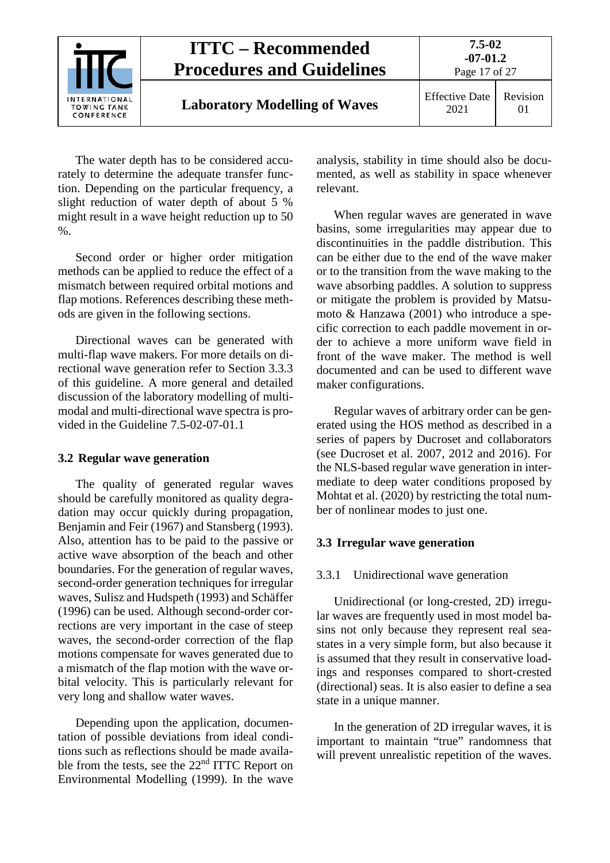

The water depth has to be considered accurately to determine the adequate transfer function. Depending on the particular frequency, a slight reduction of water depth of about 5 % might result in a wave height reduction up to 50 %.

Second order or higher order mitigation methods can be applied to reduce the effect of a mismatch between required orbital motions and flap motions. References describing these methods are given in the following sections.

Directional waves can be generated with multi-flap wave makers. For more details on directional wave generation refer to Section [3.3.3](#page-18-0) of this guideline. A more general and detailed discussion of the laboratory modelling of multimodal and multi-directional wave spectra is provided in the Guideline 7.5-02-07-01.1

#### <span id="page-16-0"></span>**3.2 Regular wave generation**

The quality of generated regular waves should be carefully monitored as quality degradation may occur quickly during propagation, Benjamin and Feir (1967) and Stansberg (1993). Also, attention has to be paid to the passive or active wave absorption of the beach and other boundaries. For the generation of regular waves, second-order generation techniques for irregular waves, Sulisz and Hudspeth (1993) and Schäffer (1996) can be used. Although second-order corrections are very important in the case of steep waves, the second-order correction of the flap motions compensate for waves generated due to a mismatch of the flap motion with the wave orbital velocity. This is particularly relevant for very long and shallow water waves.

Depending upon the application, documentation of possible deviations from ideal conditions such as reflections should be made available from the tests, see the 22<sup>nd</sup> ITTC Report on Environmental Modelling (1999). In the wave

analysis, stability in time should also be documented, as well as stability in space whenever relevant.

When regular waves are generated in wave basins, some irregularities may appear due to discontinuities in the paddle distribution. This can be either due to the end of the wave maker or to the transition from the wave making to the wave absorbing paddles. A solution to suppress or mitigate the problem is provided by Matsumoto & Hanzawa (2001) who introduce a specific correction to each paddle movement in order to achieve a more uniform wave field in front of the wave maker. The method is well documented and can be used to different wave maker configurations.

Regular waves of arbitrary order can be generated using the HOS method as described in a series of papers by Ducroset and collaborators (see Ducroset et al. 2007, 2012 and 2016). For the NLS-based regular wave generation in intermediate to deep water conditions proposed by Mohtat et al. (2020) by restricting the total number of nonlinear modes to just one.

#### <span id="page-16-2"></span><span id="page-16-1"></span>**3.3 Irregular wave generation**

#### 3.3.1 Unidirectional wave generation

Unidirectional (or long-crested, 2D) irregular waves are frequently used in most model basins not only because they represent real seastates in a very simple form, but also because it is assumed that they result in conservative loadings and responses compared to short-crested (directional) seas. It is also easier to define a sea state in a unique manner.

In the generation of 2D irregular waves, it is important to maintain "true" randomness that will prevent unrealistic repetition of the waves.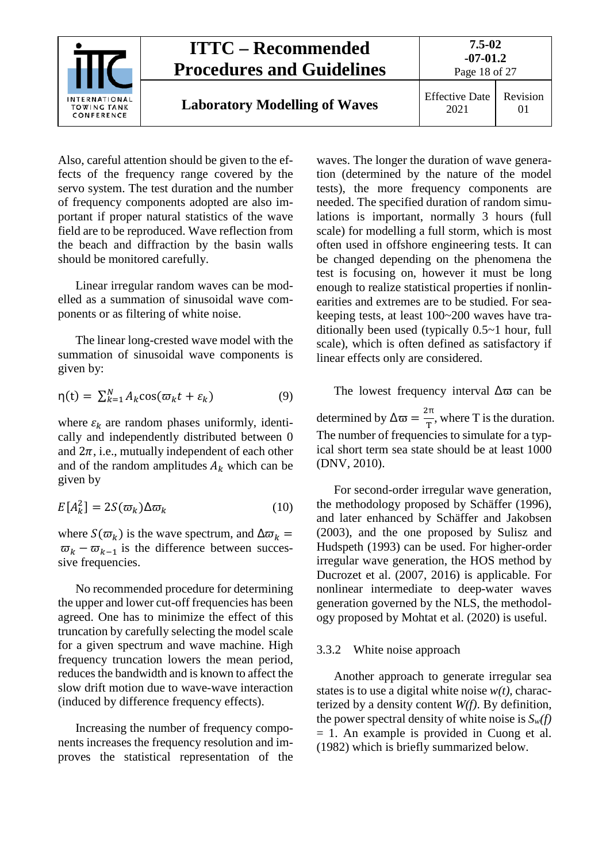

Also, careful attention should be given to the effects of the frequency range covered by the servo system. The test duration and the number of frequency components adopted are also important if proper natural statistics of the wave field are to be reproduced. Wave reflection from the beach and diffraction by the basin walls should be monitored carefully.

Linear irregular random waves can be modelled as a summation of sinusoidal wave components or as filtering of white noise.

The linear long-crested wave model with the summation of sinusoidal wave components is given by:

$$
\eta(t) = \sum_{k=1}^{N} A_k \cos(\varpi_k t + \varepsilon_k)
$$
\n(9)

where  $\varepsilon_k$  are random phases uniformly, identically and independently distributed between 0 and  $2\pi$ , i.e., mutually independent of each other and of the random amplitudes  $A_k$  which can be given by

$$
E[A_k^2] = 2S(\varpi_k)\Delta\varpi_k \tag{10}
$$

where  $S(\varpi_k)$  is the wave spectrum, and  $\Delta \varpi_k =$  $\overline{\omega}_k - \overline{\omega}_{k-1}$  is the difference between successive frequencies.

No recommended procedure for determining the upper and lower cut-off frequencies has been agreed. One has to minimize the effect of this truncation by carefully selecting the model scale for a given spectrum and wave machine. High frequency truncation lowers the mean period, reduces the bandwidth and is known to affect the slow drift motion due to wave-wave interaction (induced by difference frequency effects).

Increasing the number of frequency components increases the frequency resolution and improves the statistical representation of the

waves. The longer the duration of wave generation (determined by the nature of the model tests), the more frequency components are needed. The specified duration of random simulations is important, normally 3 hours (full scale) for modelling a full storm, which is most often used in offshore engineering tests. It can be changed depending on the phenomena the test is focusing on, however it must be long enough to realize statistical properties if nonlinearities and extremes are to be studied. For seakeeping tests, at least 100~200 waves have traditionally been used (typically 0.5~1 hour, full scale), which is often defined as satisfactory if linear effects only are considered.

The lowest frequency interval  $\Delta \varpi$  can be determined by  $\Delta \varpi = \frac{2\pi}{T}$ , where T is the duration. The number of frequencies to simulate for a typical short term sea state should be at least 1000 (DNV, 2010).

For second-order irregular wave generation, the methodology proposed by Schäffer (1996), and later enhanced by Schäffer and Jakobsen (2003), and the one proposed by Sulisz and Hudspeth (1993) can be used. For higher-order irregular wave generation, the HOS method by Ducrozet et al. (2007, 2016) is applicable. For nonlinear intermediate to deep-water waves generation governed by the NLS, the methodology proposed by Mohtat et al. (2020) is useful.

#### <span id="page-17-0"></span>3.3.2 White noise approach

Another approach to generate irregular sea states is to use a digital white noise  $w(t)$ , characterized by a density content *W(f)*. By definition, the power spectral density of white noise is  $S_w(f)$ = 1. An example is provided in Cuong et al. (1982) which is briefly summarized below.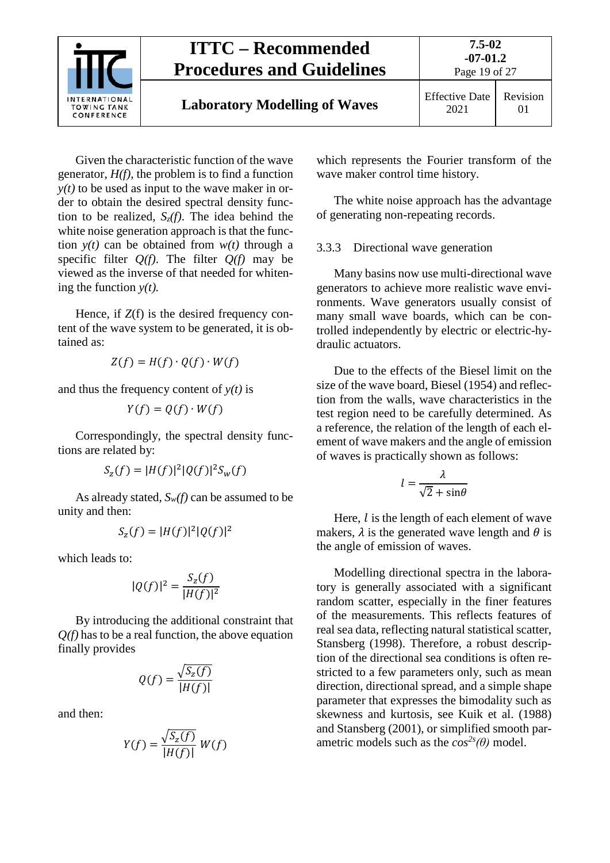

Given the characteristic function of the wave generator,  $H(f)$ , the problem is to find a function  $y(t)$  to be used as input to the wave maker in order to obtain the desired spectral density function to be realized,  $S_z(f)$ . The idea behind the white noise generation approach is that the function  $y(t)$  can be obtained from  $w(t)$  through a specific filter  $Q(f)$ . The filter  $Q(f)$  may be viewed as the inverse of that needed for whitening the function *y(t).*

Hence, if  $Z(f)$  is the desired frequency content of the wave system to be generated, it is obtained as:

$$
Z(f)=H(f)\cdot Q(f)\cdot W(f)
$$

and thus the frequency content of  $y(t)$  is

$$
Y(f) = Q(f) \cdot W(f)
$$

Correspondingly, the spectral density functions are related by:

$$
S_z(f) = |H(f)|^2 |Q(f)|^2 S_w(f)
$$

As already stated,  $S_w(f)$  can be assumed to be unity and then:

$$
S_z(f)=|H(f)|^2|Q(f)|^2
$$

which leads to:

$$
|Q(f)|^2 = \frac{S_z(f)}{|H(f)|^2}
$$

By introducing the additional constraint that *Q(f)* has to be a real function, the above equation finally provides

$$
Q(f) = \frac{\sqrt{S_z(f)}}{|H(f)|}
$$

and then:

$$
Y(f) = \frac{\sqrt{S_z(f)}}{|H(f)|} W(f)
$$

which represents the Fourier transform of the wave maker control time history.

The white noise approach has the advantage of generating non-repeating records.

#### <span id="page-18-0"></span>3.3.3 Directional wave generation

Many basins now use multi-directional wave generators to achieve more realistic wave environments. Wave generators usually consist of many small wave boards, which can be controlled independently by electric or electric-hydraulic actuators.

Due to the effects of the Biesel limit on the size of the wave board, Biesel (1954) and reflection from the walls, wave characteristics in the test region need to be carefully determined. As a reference, the relation of the length of each element of wave makers and the angle of emission of waves is practically shown as follows:

$$
l = \frac{\lambda}{\sqrt{2} + \sin \theta}
$$

Here,  $l$  is the length of each element of wave makers,  $\lambda$  is the generated wave length and  $\theta$  is the angle of emission of waves.

Modelling directional spectra in the laboratory is generally associated with a significant random scatter, especially in the finer features of the measurements. This reflects features of real sea data, reflecting natural statistical scatter, Stansberg (1998). Therefore, a robust description of the directional sea conditions is often restricted to a few parameters only, such as mean direction, directional spread, and a simple shape parameter that expresses the bimodality such as skewness and kurtosis, see Kuik et al. (1988) and Stansberg (2001), or simplified smooth parametric models such as the  $cos^{2s}(\theta)$  model.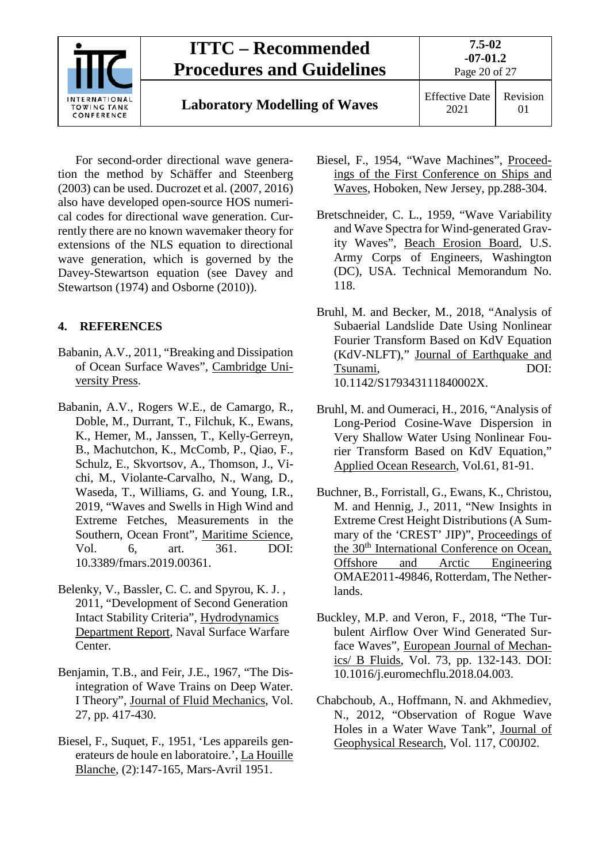

# **Laboratory Modelling of Waves** Effective Date

Page 20 of 27

2021 Revision 01

For second-order directional wave generation the method by Schäffer and Steenberg (2003) can be used. Ducrozet et al. (2007, 2016) also have developed open-source HOS numerical codes for directional wave generation. Currently there are no known wavemaker theory for extensions of the NLS equation to directional wave generation, which is governed by the Davey-Stewartson equation (see Davey and Stewartson (1974) and Osborne (2010)).

### <span id="page-19-0"></span>**4. REFERENCES**

- Babanin, A.V., 2011, "Breaking and Dissipation of Ocean Surface Waves", Cambridge University Press.
- Babanin, A.V., Rogers W.E., de Camargo, R., Doble, M., Durrant, T., Filchuk, K., Ewans, K., Hemer, M., Janssen, T., Kelly-Gerreyn, B., Machutchon, K., McComb, P., Qiao, F., Schulz, E., Skvortsov, A., Thomson, J., Vichi, M., Violante-Carvalho, N., Wang, D., Waseda, T., Williams, G. and Young, I.R., 2019, "Waves and Swells in High Wind and Extreme Fetches, Measurements in the Southern, Ocean Front", Maritime Science, Vol. 6, art. 361. DOI: 10.3389/fmars.2019.00361.
- Belenky, V., Bassler, C. C. and Spyrou, K. J. , 2011, "Development of Second Generation Intact Stability Criteria", Hydrodynamics Department Report, Naval Surface Warfare Center.
- Benjamin, T.B., and Feir, J.E., 1967, "The Disintegration of Wave Trains on Deep Water. I Theory", Journal of Fluid Mechanics, Vol. 27, pp. 417-430.
- Biesel, F., Suquet, F., 1951, 'Les appareils generateurs de houle en laboratoire.', La Houille Blanche, (2):147-165, Mars-Avril 1951.
- Biesel, F., 1954, "Wave Machines", Proceedings of the First Conference on Ships and Waves, Hoboken, New Jersey, pp.288-304.
- Bretschneider, C. L., 1959, "Wave Variability and Wave Spectra for Wind-generated Gravity Waves", Beach Erosion Board, U.S. Army Corps of Engineers, Washington (DC), USA. Technical Memorandum No. 118.
- Bruhl, M. and Becker, M., 2018, "Analysis of Subaerial Landslide Date Using Nonlinear Fourier Transform Based on KdV Equation (KdV-NLFT)," Journal of Earthquake and Tsunami, DOI: 10.1142/S179343111840002X.
- Bruhl, M. and Oumeraci, H., 2016, "Analysis of Long-Period Cosine-Wave Dispersion in Very Shallow Water Using Nonlinear Fourier Transform Based on KdV Equation," Applied Ocean Research, Vol.61, 81-91.
- Buchner, B., Forristall, G., Ewans, K., Christou, M. and Hennig, J., 2011, "New Insights in Extreme Crest Height Distributions (A Summary of the 'CREST' JIP)", Proceedings of the 30<sup>th</sup> International Conference on Ocean, Offshore and Arctic Engineering OMAE2011-49846, Rotterdam, The Netherlands.
- Buckley, M.P. and Veron, F., 2018, "The Turbulent Airflow Over Wind Generated Surface Waves", European Journal of Mechanics/ B Fluids, Vol. 73, pp. 132-143. DOI: 10.1016/j.euromechflu.2018.04.003.
- Chabchoub, A., Hoffmann, N. and Akhmediev, N., 2012, "Observation of Rogue Wave Holes in a Water Wave Tank", Journal of Geophysical Research, Vol. 117, C00J02.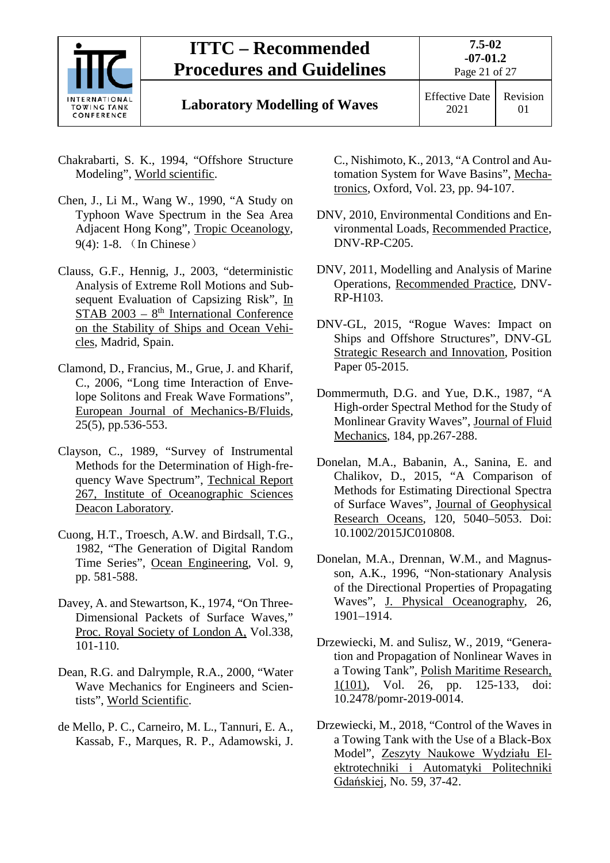

# **Laboratory Modelling of Waves** Effective Date

2021 Revision 01

- Chakrabarti, S. K., 1994, "Offshore Structure Modeling", World scientific.
- Chen, J., Li M., Wang W., 1990, "A Study on Typhoon Wave Spectrum in the Sea Area Adjacent Hong Kong", Tropic Oceanology, 9(4): 1-8. (In Chinese)
- Clauss, G.F., Hennig, J., 2003, "deterministic Analysis of Extreme Roll Motions and Subsequent Evaluation of Capsizing Risk", In  $STAB$  2003 –  $8<sup>th</sup> International Conference$ on the Stability of Ships and Ocean Vehicles, Madrid, Spain.
- Clamond, D., Francius, M., Grue, J. and Kharif, C., 2006, "Long time Interaction of Envelope Solitons and Freak Wave Formations", European Journal of Mechanics-B/Fluids, 25(5), pp.536-553.
- Clayson, C., 1989, "Survey of Instrumental Methods for the Determination of High-frequency Wave Spectrum", Technical Report 267, Institute of Oceanographic Sciences Deacon Laboratory.
- Cuong, H.T., Troesch, A.W. and Birdsall, T.G., 1982, "The Generation of Digital Random Time Series", Ocean Engineering, Vol. 9, pp. 581-588.
- Davey, A. and Stewartson, K., 1974, "On Three-Dimensional Packets of Surface Waves," Proc. Royal Society of London A, Vol.338, 101-110.
- Dean, R.G. and Dalrymple, R.A., 2000, "Water Wave Mechanics for Engineers and Scientists", World Scientific.
- de Mello, P. C., Carneiro, M. L., Tannuri, E. A., Kassab, F., Marques, R. P., Adamowski, J.

C., Nishimoto, K., 2013, "A Control and Automation System for Wave Basins", Mechatronics, Oxford, Vol. 23, pp. 94-107.

- DNV, 2010, Environmental Conditions and Environmental Loads, Recommended Practice, DNV-RP-C205.
- DNV, 2011, Modelling and Analysis of Marine Operations, Recommended Practice, DNV-RP-H103.
- DNV-GL, 2015, "Rogue Waves: Impact on Ships and Offshore Structures", DNV-GL Strategic Research and Innovation, Position Paper 05-2015.
- Dommermuth, D.G. and Yue, D.K., 1987, "A High-order Spectral Method for the Study of Monlinear Gravity Waves", Journal of Fluid Mechanics, 184, pp.267-288.
- Donelan, M.A., Babanin, A., Sanina, E. and Chalikov, D., 2015, "A Comparison of Methods for Estimating Directional Spectra of Surface Waves", Journal of Geophysical Research Oceans, 120, 5040–5053. Doi: 10.1002/2015JC010808.
- Donelan, M.A., Drennan, W.M., and Magnusson, A.K., 1996, "Non-stationary Analysis of the Directional Properties of Propagating Waves", J. Physical Oceanography, 26, 1901–1914.
- Drzewiecki, M. and Sulisz, W., 2019, "Generation and Propagation of Nonlinear Waves in a Towing Tank", Polish Maritime Research, 1(101), Vol. 26, pp. 125-133, doi: 10.2478/pomr-2019-0014.
- Drzewiecki, M., 2018, "Control of the Waves in a Towing Tank with the Use of a Black-Box Model", Zeszyty Naukowe Wydziału Elektrotechniki i Automatyki Politechniki Gdańskiej, No. 59, 37-42.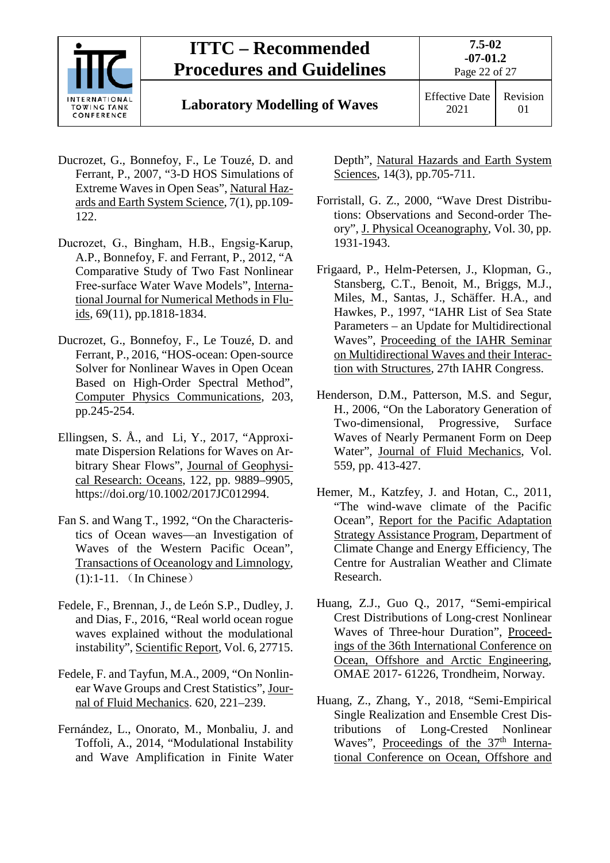

# **Laboratory Modelling of Waves** Effective Date

- Ducrozet, G., Bonnefoy, F., Le Touzé, D. and Ferrant, P., 2007, "3-D HOS Simulations of Extreme Waves in Open Seas", Natural Hazards and Earth System Science, 7(1), pp.109- 122.
- Ducrozet, G., Bingham, H.B., Engsig‐Karup, A.P., Bonnefoy, F. and Ferrant, P., 2012, "A Comparative Study of Two Fast Nonlinear Free‐surface Water Wave Models", International Journal for Numerical Methods in Fluids, 69(11), pp.1818-1834.
- Ducrozet, G., Bonnefoy, F., Le Touzé, D. and Ferrant, P., 2016, "HOS-ocean: Open-source Solver for Nonlinear Waves in Open Ocean Based on High-Order Spectral Method", Computer Physics Communications, 203, pp.245-254.
- Ellingsen, S. Å., and Li, Y., 2017, "Approximate Dispersion Relations for Waves on Arbitrary Shear Flows", Journal of Geophysical Research: Oceans, 122, pp. 9889–9905, https://doi.org/10.1002/2017JC012994.
- Fan S. and Wang T., 1992, "On the Characteristics of Ocean waves—an Investigation of Waves of the Western Pacific Ocean", Transactions of Oceanology and Limnology, (1):1-11. (In Chinese)
- Fedele, F., Brennan, J., de León S.P., Dudley, J. and Dias, F., 2016, "Real world ocean rogue waves explained without the modulational instability", Scientific Report, Vol. 6, 27715.
- Fedele, F. and Tayfun, M.A., 2009, "On Nonlinear Wave Groups and Crest Statistics", Journal of Fluid Mechanics. 620, 221–239.
- Fernández, L., Onorato, M., Monbaliu, J. and Toffoli, A., 2014, "Modulational Instability and Wave Amplification in Finite Water

Depth", Natural Hazards and Earth System Sciences, 14(3), pp.705-711.

- Forristall, G. Z., 2000, "Wave Drest Distributions: Observations and Second-order Theory", J. Physical Oceanography, Vol. 30, pp. 1931-1943.
- Frigaard, P., Helm-Petersen, J., Klopman, G., Stansberg, C.T., Benoit, M., Briggs, M.J., Miles, M., Santas, J., Schäffer. H.A., and Hawkes, P., 1997, "IAHR List of Sea State Parameters – an Update for Multidirectional Waves", Proceeding of the IAHR Seminar on Multidirectional Waves and their Interaction with Structures, 27th IAHR Congress.
- Henderson, D.M., Patterson, M.S. and Segur, H., 2006, "On the Laboratory Generation of Two-dimensional, Progressive, Surface Waves of Nearly Permanent Form on Deep Water", Journal of Fluid Mechanics, Vol. 559, pp. 413-427.
- Hemer, M., Katzfey, J. and Hotan, C., 2011, "The wind-wave climate of the Pacific Ocean", Report for the Pacific Adaptation Strategy Assistance Program, Department of Climate Change and Energy Efficiency, The Centre for Australian Weather and Climate Research.
- Huang, Z.J., Guo Q., 2017, "Semi-empirical Crest Distributions of Long-crest Nonlinear Waves of Three-hour Duration", Proceedings of the 36th International Conference on Ocean, Offshore and Arctic Engineering, OMAE 2017- 61226, Trondheim, Norway.
- Huang, Z., Zhang, Y., 2018, "Semi-Empirical Single Realization and Ensemble Crest Distributions of Long-Crested Nonlinear Waves", Proceedings of the 37<sup>th</sup> International Conference on Ocean, Offshore and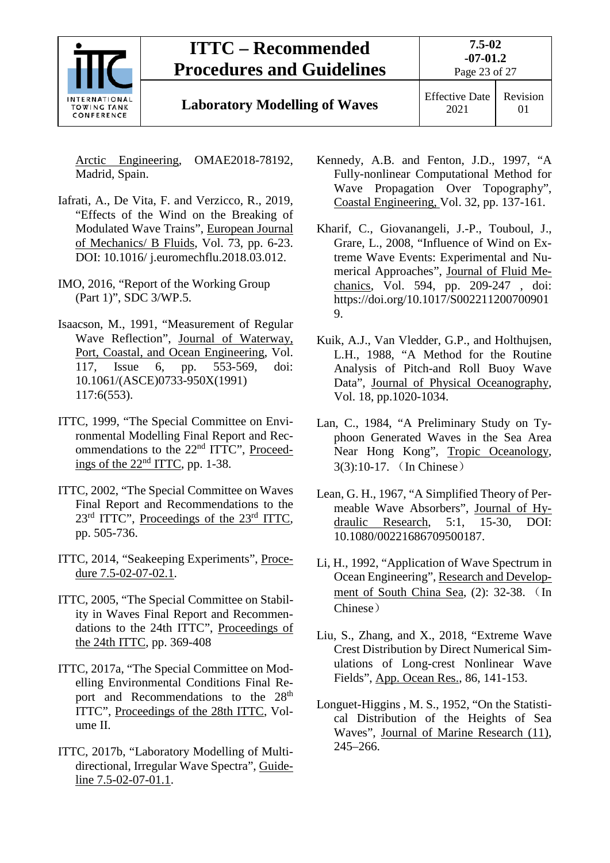

## **Laboratory Modelling of Waves** Effective Date

2021 Revision 01

Arctic Engineering, OMAE2018-78192, Madrid, Spain.

- Iafrati, A., De Vita, F. and Verzicco, R., 2019, "Effects of the Wind on the Breaking of Modulated Wave Trains", European Journal of Mechanics/ B Fluids, Vol. 73, pp. 6-23. DOI: 10.1016/ j.euromechflu.2018.03.012.
- IMO, 2016, "Report of the Working Group (Part 1)", SDC 3/WP.5.
- Isaacson, M., 1991, "Measurement of Regular Wave Reflection", Journal of Waterway, Port, Coastal, and Ocean Engineering, Vol. 117, Issue 6, pp. 553-569, doi: 10.1061/(ASCE)0733-950X(1991) 117:6(553).
- ITTC, 1999, "The Special Committee on Environmental Modelling Final Report and Recommendations to the 22<sup>nd</sup> ITTC", Proceedings of the 22nd ITTC, pp. 1-38.
- ITTC, 2002, "The Special Committee on Waves Final Report and Recommendations to the 23<sup>rd</sup> ITTC", Proceedings of the 23<sup>rd</sup> ITTC, pp. 505-736.
- ITTC, 2014, "Seakeeping Experiments", Procedure 7.5-02-07-02.1.
- ITTC, 2005, "The Special Committee on Stability in Waves Final Report and Recommendations to the 24th ITTC", Proceedings of the 24th ITTC, pp. 369-408
- ITTC, 2017a, "The Special Committee on Modelling Environmental Conditions Final Report and Recommendations to the 28<sup>th</sup> ITTC", Proceedings of the 28th ITTC, Volume II.
- ITTC, 2017b, "Laboratory Modelling of Multidirectional, Irregular Wave Spectra", Guideline 7.5-02-07-01.1.
- Kennedy, A.B. and Fenton, J.D., 1997, "A Fully-nonlinear Computational Method for Wave Propagation Over Topography", Coastal Engineering, Vol. 32, pp. 137-161.
- Kharif, C., Giovanangeli, J.-P., Touboul, J., Grare, L., 2008, "Influence of Wind on Extreme Wave Events: Experimental and Numerical Approaches", Journal of Fluid Mechanics, Vol. 594, pp. 209-247 , doi: https://doi.org/10.1017/S002211200700901 9.
- Kuik, A.J., Van Vledder, G.P., and Holthujsen, L.H., 1988, "A Method for the Routine Analysis of Pitch-and Roll Buoy Wave Data", Journal of Physical Oceanography, Vol. 18, pp.1020-1034.
- Lan, C., 1984, "A Preliminary Study on Typhoon Generated Waves in the Sea Area Near Hong Kong", Tropic Oceanology, 3(3):10-17. (In Chinese)
- Lean, G. H., 1967, "A Simplified Theory of Permeable Wave Absorbers", Journal of Hydraulic Research, 5:1, 15-30, DOI: 10.1080/00221686709500187.
- Li, H., 1992, "Application of Wave Spectrum in Ocean Engineering", Research and Development of South China Sea, (2): 32-38. (In Chinese)
- Liu, S., Zhang, and X., 2018, "Extreme Wave Crest Distribution by Direct Numerical Simulations of Long-crest Nonlinear Wave Fields", App. Ocean Res., 86, 141-153.
- Longuet-Higgins , M. S., 1952, "On the Statistical Distribution of the Heights of Sea Waves", Journal of Marine Research (11), 245–266.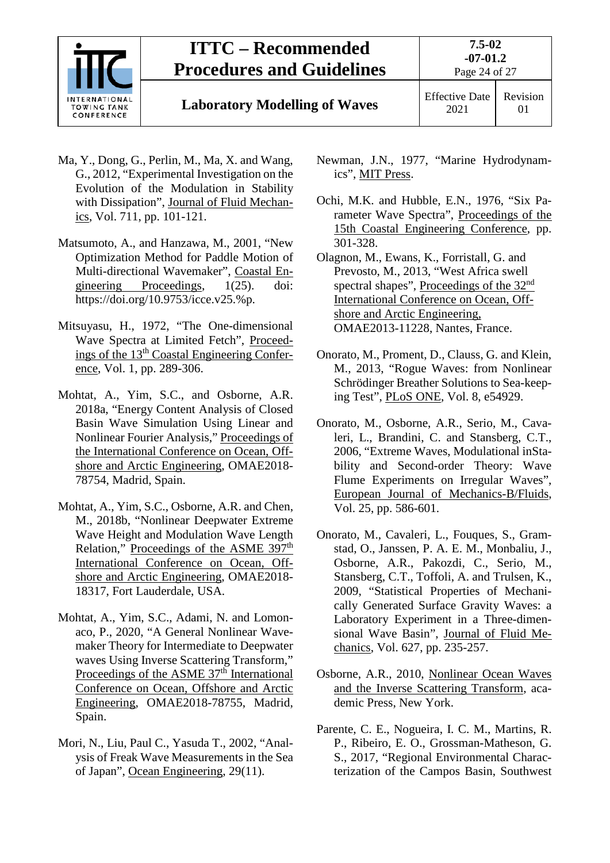

# **Laboratory Modelling of Waves** Effective Date

2021 Revision 01

- Ma, Y., Dong, G., Perlin, M., Ma, X. and Wang, G., 2012, "Experimental Investigation on the Evolution of the Modulation in Stability with Dissipation", Journal of Fluid Mechanics, Vol. 711, pp. 101-121.
- Matsumoto, A., and Hanzawa, M., 2001, "New Optimization Method for Paddle Motion of Multi-directional Wavemaker", Coastal Engineering Proceedings, 1(25). doi: https://doi.org/10.9753/icce.v25.%p.
- Mitsuyasu, H., 1972, "The One-dimensional Wave Spectra at Limited Fetch", Proceedings of the 13th Coastal Engineering Conference, Vol. 1, pp. 289-306.
- Mohtat, A., Yim, S.C., and Osborne, A.R. 2018a, "Energy Content Analysis of Closed Basin Wave Simulation Using Linear and Nonlinear Fourier Analysis," Proceedings of the International Conference on Ocean, Offshore and Arctic Engineering, OMAE2018- 78754, Madrid, Spain.
- Mohtat, A., Yim, S.C., Osborne, A.R. and Chen, M., 2018b, "Nonlinear Deepwater Extreme Wave Height and Modulation Wave Length Relation," Proceedings of the ASME 397<sup>th</sup> International Conference on Ocean, Offshore and Arctic Engineering, OMAE2018- 18317, Fort Lauderdale, USA.
- Mohtat, A., Yim, S.C., Adami, N. and Lomonaco, P., 2020, "A General Nonlinear Wavemaker Theory for Intermediate to Deepwater waves Using Inverse Scattering Transform," Proceedings of the ASME 37<sup>th</sup> International Conference on Ocean, Offshore and Arctic Engineering, OMAE2018-78755, Madrid, Spain.
- Mori, N., Liu, Paul C., Yasuda T., 2002, "Analysis of Freak Wave Measurements in the Sea of Japan", Ocean Engineering, 29(11).
- Newman, J.N., 1977, "Marine Hydrodynamics", MIT Press.
- Ochi, M.K. and Hubble, E.N., 1976, "Six Parameter Wave Spectra", Proceedings of the 15th Coastal Engineering Conference, pp. 301-328.
- Olagnon, M., Ewans, K., Forristall, G. and Prevosto, M., 2013, "West Africa swell spectral shapes", Proceedings of the 32<sup>nd</sup> International Conference on Ocean, Offshore and Arctic Engineering, OMAE2013-11228, Nantes, France.
- Onorato, M., Proment, D., Clauss, G. and Klein, M., 2013, "Rogue Waves: from Nonlinear Schrödinger Breather Solutions to Sea-keeping Test", PLoS ONE, Vol. 8, e54929.
- Onorato, M., Osborne, A.R., Serio, M., Cavaleri, L., Brandini, C. and Stansberg, C.T., 2006, "Extreme Waves, Modulational inStability and Second-order Theory: Wave Flume Experiments on Irregular Waves", European Journal of Mechanics-B/Fluids, Vol. 25, pp. 586-601.
- Onorato, M., Cavaleri, L., Fouques, S., Gramstad, O., Janssen, P. A. E. M., Monbaliu, J., Osborne, A.R., Pakozdi, C., Serio, M., Stansberg, C.T., Toffoli, A. and Trulsen, K., 2009, "Statistical Properties of Mechanically Generated Surface Gravity Waves: a Laboratory Experiment in a Three-dimensional Wave Basin", Journal of Fluid Mechanics, Vol. 627, pp. 235-257.
- Osborne, A.R., 2010, Nonlinear Ocean Waves and the Inverse Scattering Transform, academic Press, New York.
- Parente, C. E., Nogueira, I. C. M., Martins, R. P., Ribeiro, E. O., Grossman-Matheson, G. S., 2017, "Regional Environmental Characterization of the Campos Basin, Southwest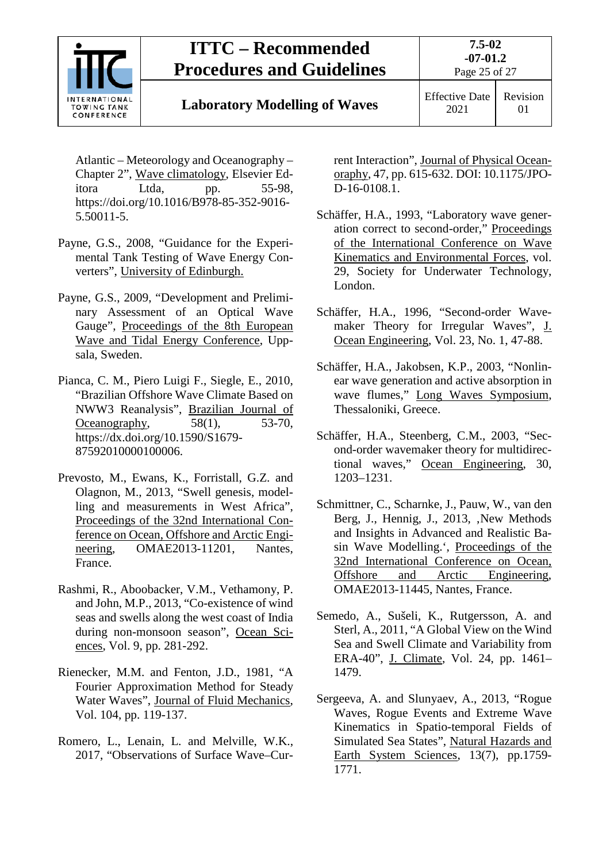

# **Laboratory Modelling of Waves** Effective Date

2021 Revision 01

Atlantic – Meteorology and Oceanography – Chapter 2", Wave climatology, Elsevier Editora Ltda, pp. 55-98, https://doi.org/10.1016/B978-85-352-9016- 5.50011-5.

- Payne, G.S., 2008, "Guidance for the Experimental Tank Testing of Wave Energy Converters", University of Edinburgh.
- Payne, G.S., 2009, "Development and Preliminary Assessment of an Optical Wave Gauge", Proceedings of the 8th European Wave and Tidal Energy Conference, Uppsala, Sweden.
- Pianca, C. M., Piero Luigi F., Siegle, E., 2010, "Brazilian Offshore Wave Climate Based on NWW3 Reanalysis", Brazilian Journal of Oceanography,  $58(1)$ ,  $53-70$ , https://dx.doi.org/10.1590/S1679- 87592010000100006.
- Prevosto, M., Ewans, K., Forristall, G.Z. and Olagnon, M., 2013, "Swell genesis, modelling and measurements in West Africa", Proceedings of the 32nd International Conference on Ocean, Offshore and Arctic Engineering, OMAE2013-11201, Nantes, France.
- Rashmi, R., Aboobacker, V.M., Vethamony, P. and John, M.P., 2013, "Co-existence of wind seas and swells along the west coast of India during non-monsoon season", Ocean Sciences, Vol. 9, pp. 281-292.
- Rienecker, M.M. and Fenton, J.D., 1981, "A Fourier Approximation Method for Steady Water Waves", Journal of Fluid Mechanics, Vol. 104, pp. 119-137.
- Romero, L., Lenain, L. and Melville, W.K., 2017, "Observations of Surface Wave–Cur-

rent Interaction", Journal of Physical Oceanoraphy, 47, pp. 615-632. DOI: 10.1175/JPO-D-16-0108.1.

- Schäffer, H.A., 1993, "Laboratory wave generation correct to second-order," Proceedings of the International Conference on Wave Kinematics and Environmental Forces, vol. 29, Society for Underwater Technology, London.
- Schäffer, H.A., 1996, "Second-order Wavemaker Theory for Irregular Waves", J. Ocean Engineering, Vol. 23, No. 1, 47-88.
- Schäffer, H.A., Jakobsen, K.P., 2003, "Nonlinear wave generation and active absorption in wave flumes," Long Waves Symposium, Thessaloniki, Greece.
- Schäffer, H.A., Steenberg, C.M., 2003, "Second-order wavemaker theory for multidirectional waves," Ocean Engineering, 30, 1203–1231.
- Schmittner, C., Scharnke, J., Pauw, W., van den Berg, J., Hennig, J., 2013, ,New Methods and Insights in Advanced and Realistic Basin Wave Modelling.', Proceedings of the 32nd International Conference on Ocean, Offshore and Arctic Engineering, OMAE2013-11445, Nantes, France.
- Semedo, A., Sušeli, K., Rutgersson, A. and Sterl, A., 2011, "A Global View on the Wind Sea and Swell Climate and Variability from ERA-40", J. Climate, Vol. 24, pp. 1461– 1479.
- Sergeeva, A. and Slunyaev, A., 2013, "Rogue Waves, Rogue Events and Extreme Wave Kinematics in Spatio-temporal Fields of Simulated Sea States", Natural Hazards and Earth System Sciences, 13(7), pp.1759- 1771.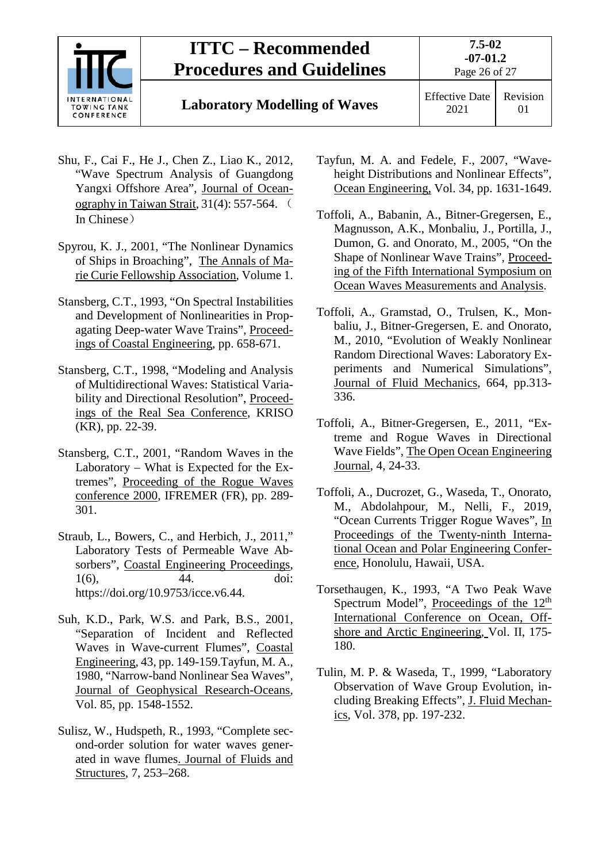

# **Laboratory Modelling of Waves** Effective Date

2021 Revision 01

- Shu, F., Cai F., He J., Chen Z., Liao K., 2012, "Wave Spectrum Analysis of Guangdong Yangxi Offshore Area", Journal of Oceanography in Taiwan Strait, 31(4): 557-564. ( In Chinese)
- Spyrou, K. J., 2001, "The Nonlinear Dynamics of Ships in Broaching", The Annals of Marie Curie Fellowship Association, Volume 1.
- Stansberg, C.T., 1993, "On Spectral Instabilities and Development of Nonlinearities in Propagating Deep-water Wave Trains", Proceedings of Coastal Engineering, pp. 658-671.
- Stansberg, C.T., 1998, "Modeling and Analysis of Multidirectional Waves: Statistical Variability and Directional Resolution", Proceedings of the Real Sea Conference, KRISO (KR), pp. 22-39.
- Stansberg, C.T., 2001, "Random Waves in the Laboratory – What is Expected for the Extremes", Proceeding of the Rogue Waves conference 2000, IFREMER (FR), pp. 289- 301.
- Straub, L., Bowers, C., and Herbich, J., 2011," Laboratory Tests of Permeable Wave Absorbers", Coastal Engineering Proceedings, 1(6), 44. doi: https://doi.org/10.9753/icce.v6.44.
- Suh, K.D., Park, W.S. and Park, B.S., 2001, "Separation of Incident and Reflected Waves in Wave-current Flumes", Coastal Engineering, 43, pp. 149-159.Tayfun, M. A., 1980, "Narrow-band Nonlinear Sea Waves", Journal of Geophysical Research-Oceans, Vol. 85, pp. 1548-1552.
- Sulisz, W., Hudspeth, R., 1993, "Complete second-order solution for water waves generated in wave flumes. Journal of Fluids and Structures, 7, 253–268.
- Tayfun, M. A. and Fedele, F., 2007, "Waveheight Distributions and Nonlinear Effects", Ocean Engineering, Vol. 34, pp. 1631-1649.
- Toffoli, A., Babanin, A., Bitner-Gregersen, E., Magnusson, A.K., Monbaliu, J., Portilla, J., Dumon, G. and Onorato, M., 2005, "On the Shape of Nonlinear Wave Trains", Proceeding of the Fifth International Symposium on Ocean Waves Measurements and Analysis.
- Toffoli, A., Gramstad, O., Trulsen, K., Monbaliu, J., Bitner-Gregersen, E. and Onorato, M., 2010, "Evolution of Weakly Nonlinear Random Directional Waves: Laboratory Experiments and Numerical Simulations", Journal of Fluid Mechanics, 664, pp.313- 336.
- Toffoli, A., Bitner-Gregersen, E., 2011, "Extreme and Rogue Waves in Directional Wave Fields", The Open Ocean Engineering Journal, 4, 24-33.
- Toffoli, A., Ducrozet, G., Waseda, T., Onorato, M., Abdolahpour, M., Nelli, F., 2019, "Ocean Currents Trigger Rogue Waves", In Proceedings of the Twenty-ninth International Ocean and Polar Engineering Conference, Honolulu, Hawaii, USA.
- Torsethaugen, K., 1993, "A Two Peak Wave Spectrum Model", Proceedings of the 12<sup>th</sup> International Conference on Ocean, Offshore and Arctic Engineering, Vol. II, 175- 180.
- Tulin, M. P. & Waseda, T., 1999, "Laboratory Observation of Wave Group Evolution, including Breaking Effects", J. Fluid Mechanics, Vol. 378, pp. 197-232.